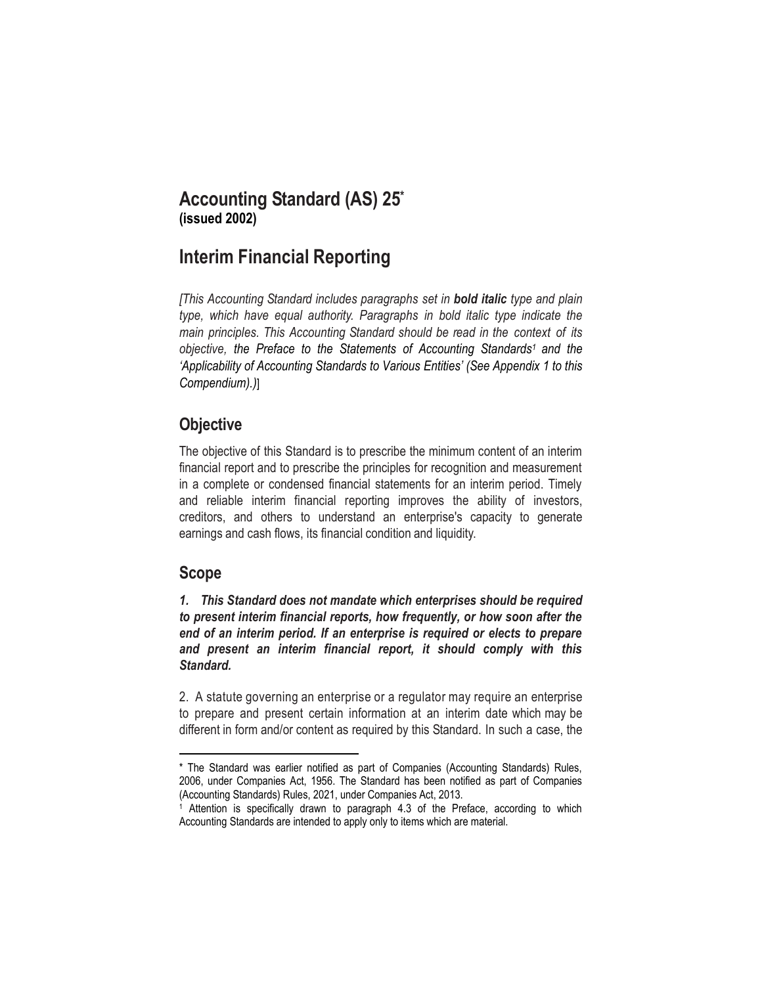# **Accounting Standard (AS) 25\* (issued 2002)**

# **Interim Financial Reporting**

*[This Accounting Standard includes paragraphs set in bold italic type and plain type, which have equal authority. Paragraphs in bold italic type indicate the main principles. This Accounting Standard should be read in the context of its objective, the Preface to the Statements of Accounting Standards<sup>1</sup> and the 'Applicability of Accounting Standards to Various Entities' (See Appendix 1 to this Compendium).)*]

# **Objective**

The objective of this Standard is to prescribe the minimum content of an interim financial report and to prescribe the principles for recognition and measurement in a complete or condensed financial statements for an interim period. Timely and reliable interim financial reporting improves the ability of investors, creditors, and others to understand an enterprise's capacity to generate earnings and cash flows, its financial condition and liquidity.

# **Scope**

*1. This Standard does not mandate which enterprises should be required to present interim financial reports, how frequently, or how soon after the end of an interim period. If an enterprise is required or elects to prepare and present an interim financial report, it should comply with this Standard.*

2. A statute governing an enterprise or a regulator may require an enterprise to prepare and present certain information at an interim date which may be different in form and/or content as required by this Standard. In such a case, the

l \* The Standard was earlier notified as part of Companies (Accounting Standards) Rules, 2006, under Companies Act, 1956. The Standard has been notified as part of Companies (Accounting Standards) Rules, 2021, under Companies Act, 2013.

<sup>1</sup> Attention is specifically drawn to paragraph 4.3 of the Preface, according to which Accounting Standards are intended to apply only to items which are material.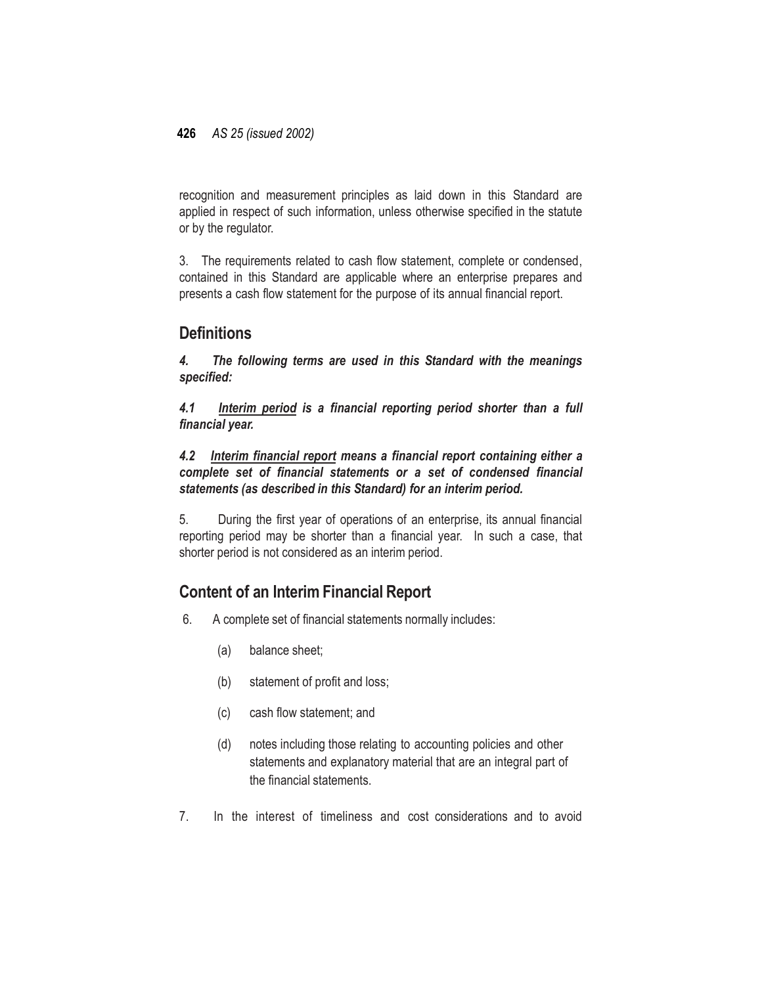recognition and measurement principles as laid down in this Standard are applied in respect of such information, unless otherwise specified in the statute or by the regulator.

3. The requirements related to cash flow statement, complete or condensed, contained in this Standard are applicable where an enterprise prepares and presents a cash flow statement for the purpose of its annual financial report.

## **Definitions**

*4. The following terms are used in this Standard with the meanings specified:*

*4.1 Interim period is a financial reporting period shorter than a full financial year.*

*4.2 Interim financial report means a financial report containing either a complete set of financial statements or a set of condensed financial statements (as described in this Standard) for an interim period.*

5. During the first year of operations of an enterprise, its annual financial reporting period may be shorter than a financial year. In such a case, that shorter period is not considered as an interim period.

# **Content of an Interim Financial Report**

- 6. A complete set of financial statements normally includes:
	- (a) balance sheet;
	- (b) statement of profit and loss;
	- (c) cash flow statement; and
	- (d) notes including those relating to accounting policies and other statements and explanatory material that are an integral part of the financial statements.
- 7. In the interest of timeliness and cost considerations and to avoid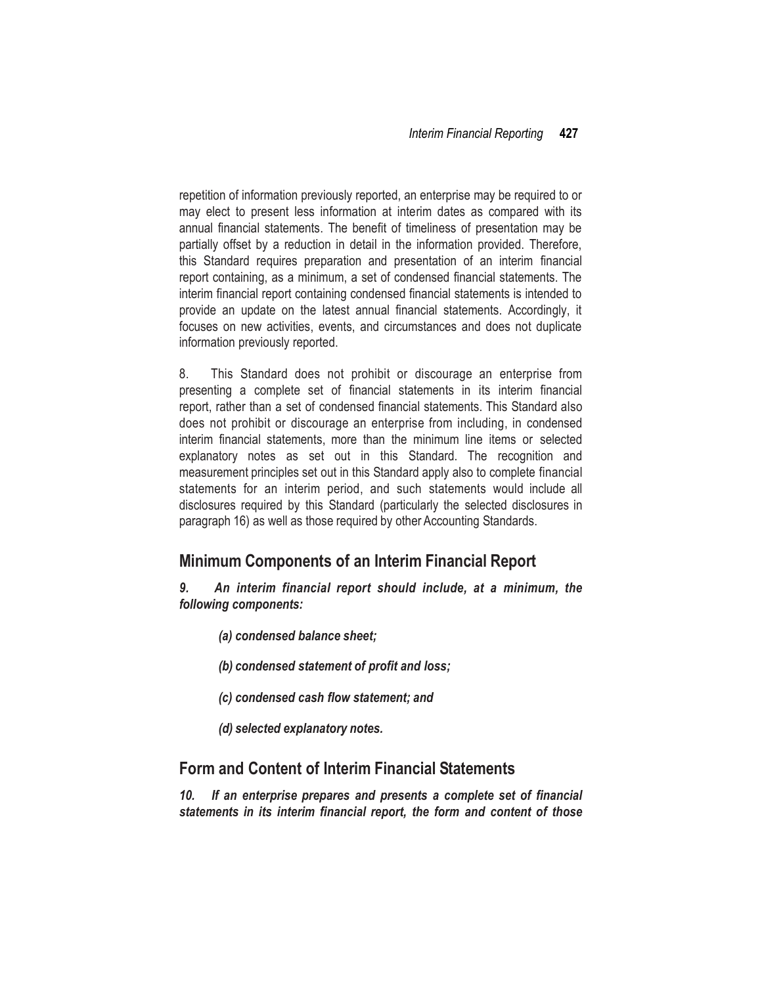repetition of information previously reported, an enterprise may be required to or may elect to present less information at interim dates as compared with its annual financial statements. The benefit of timeliness of presentation may be partially offset by a reduction in detail in the information provided. Therefore, this Standard requires preparation and presentation of an interim financial report containing, as a minimum, a set of condensed financial statements. The interim financial report containing condensed financial statements is intended to provide an update on the latest annual financial statements. Accordingly, it focuses on new activities, events, and circumstances and does not duplicate information previously reported.

8. This Standard does not prohibit or discourage an enterprise from presenting a complete set of financial statements in its interim financial report, rather than a set of condensed financial statements. This Standard also does not prohibit or discourage an enterprise from including, in condensed interim financial statements, more than the minimum line items or selected explanatory notes as set out in this Standard. The recognition and measurement principles set out in this Standard apply also to complete financial statements for an interim period, and such statements would include all disclosures required by this Standard (particularly the selected disclosures in paragraph 16) as well as those required by other Accounting Standards.

## **Minimum Components of an Interim Financial Report**

*9. An interim financial report should include, at a minimum, the following components:*

- *(a) condensed balance sheet;*
- *(b) condensed statement of profit and loss;*
- *(c) condensed cash flow statement; and*
- *(d) selected explanatory notes.*

## **Form and Content of Interim Financial Statements**

*10. If an enterprise prepares and presents a complete set of financial statements in its interim financial report, the form and content of those*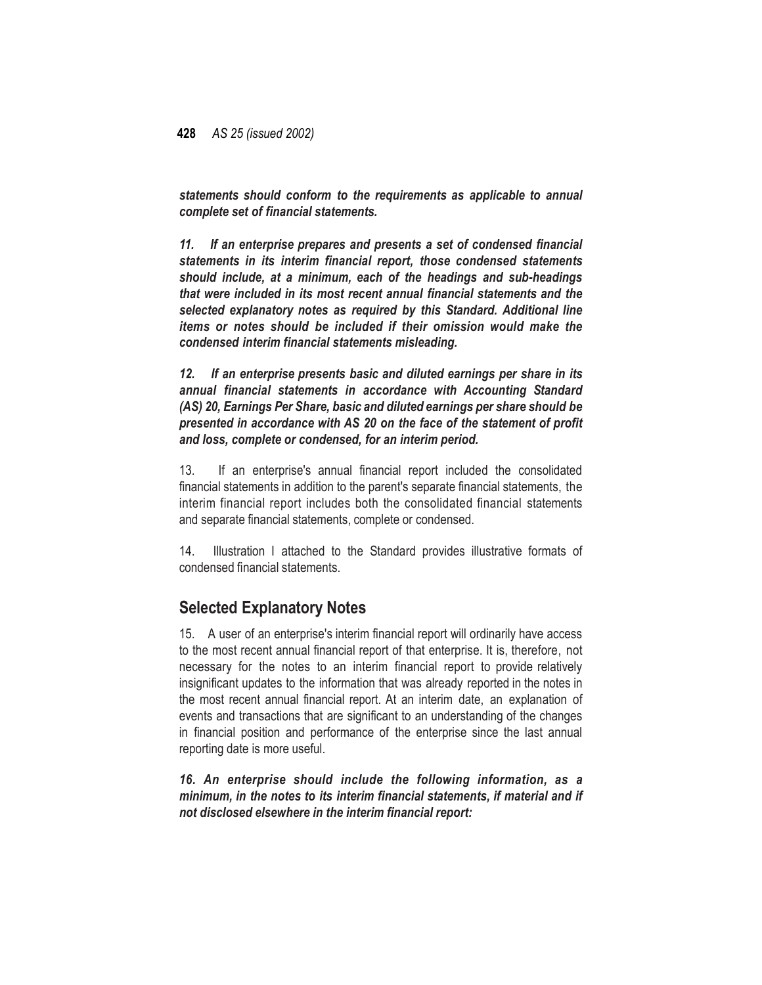*statements should conform to the requirements as applicable to annual complete set of financial statements.*

*11. If an enterprise prepares and presents a set of condensed financial statements in its interim financial report, those condensed statements should include, at a minimum, each of the headings and sub-headings that were included in its most recent annual financial statements and the selected explanatory notes as required by this Standard. Additional line items or notes should be included if their omission would make the condensed interim financial statements misleading.*

*12. If an enterprise presents basic and diluted earnings per share in its annual financial statements in accordance with Accounting Standard (AS) 20, Earnings Per Share, basic and diluted earnings per share should be presented in accordance with AS 20 on the face of the statement of profit and loss, complete or condensed, for an interim period.*

13. If an enterprise's annual financial report included the consolidated financial statements in addition to the parent's separate financial statements, the interim financial report includes both the consolidated financial statements and separate financial statements, complete or condensed.

14. Illustration I attached to the Standard provides illustrative formats of condensed financial statements.

## **Selected Explanatory Notes**

15. A user of an enterprise's interim financial report will ordinarily have access to the most recent annual financial report of that enterprise. It is, therefore, not necessary for the notes to an interim financial report to provide relatively insignificant updates to the information that was already reported in the notes in the most recent annual financial report. At an interim date, an explanation of events and transactions that are significant to an understanding of the changes in financial position and performance of the enterprise since the last annual reporting date is more useful.

*16. An enterprise should include the following information, as a minimum, in the notes to its interim financial statements, if material and if not disclosed elsewhere in the interim financial report:*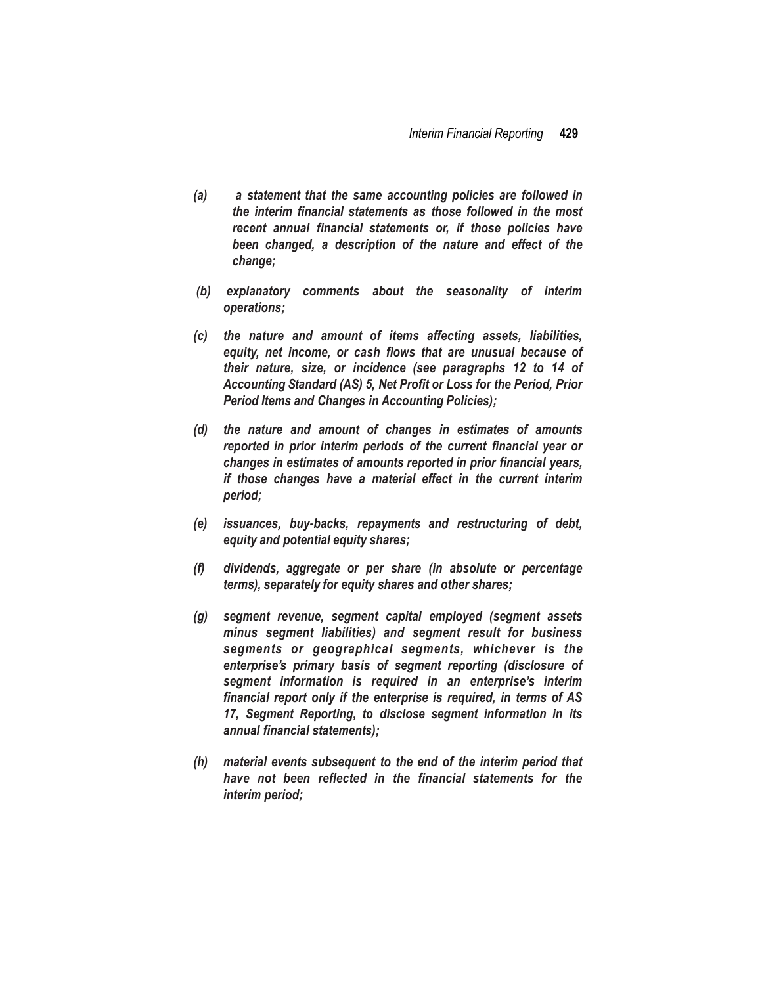- *(a) a statement that the same accounting policies are followed in the interim financial statements as those followed in the most recent annual financial statements or, if those policies have been changed, a description of the nature and effect of the change;*
- *(b) explanatory comments about the seasonality of interim operations;*
- *(c) the nature and amount of items affecting assets, liabilities, equity, net income, or cash flows that are unusual because of their nature, size, or incidence (see paragraphs 12 to 14 of Accounting Standard (AS) 5, Net Profit or Loss for the Period, Prior Period Items and Changes in Accounting Policies);*
- *(d) the nature and amount of changes in estimates of amounts reported in prior interim periods of the current financial year or changes in estimates of amounts reported in prior financial years, if those changes have a material effect in the current interim period;*
- *(e) issuances, buy-backs, repayments and restructuring of debt, equity and potential equity shares;*
- *(f) dividends, aggregate or per share (in absolute or percentage terms), separately for equity shares and other shares;*
- *(g) segment revenue, segment capital employed (segment assets minus segment liabilities) and segment result for business segments or geographical segments, whichever is the enterprise's primary basis of segment reporting (disclosure of segment information is required in an enterprise's interim financial report only if the enterprise is required, in terms of AS 17, Segment Reporting, to disclose segment information in its annual financial statements);*
- *(h) material events subsequent to the end of the interim period that have not been reflected in the financial statements for the interim period;*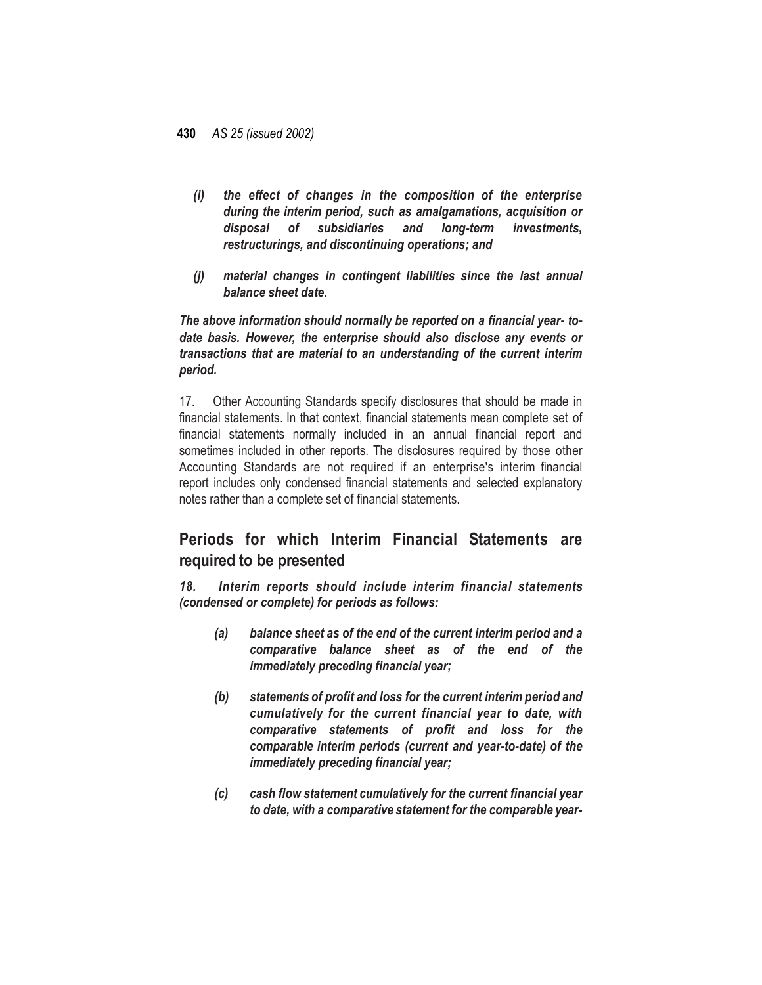- *(i) the effect of changes in the composition of the enterprise during the interim period, such as amalgamations, acquisition or disposal of subsidiaries and long-term investments, restructurings, and discontinuing operations; and*
- *(j) material changes in contingent liabilities since the last annual balance sheet date.*

*The above information should normally be reported on a financial year- todate basis. However, the enterprise should also disclose any events or transactions that are material to an understanding of the current interim period.*

17. Other Accounting Standards specify disclosures that should be made in financial statements. In that context, financial statements mean complete set of financial statements normally included in an annual financial report and sometimes included in other reports. The disclosures required by those other Accounting Standards are not required if an enterprise's interim financial report includes only condensed financial statements and selected explanatory notes rather than a complete set of financial statements.

# **Periods for which Interim Financial Statements are required to be presented**

*18. Interim reports should include interim financial statements (condensed or complete) for periods as follows:*

- *(a) balance sheet as of the end of the current interim period and a comparative balance sheet as of the end of the immediately preceding financial year;*
- *(b) statements of profit and loss for the current interim period and cumulatively for the current financial year to date, with comparative statements of profit and loss for the comparable interim periods (current and year-to-date) of the immediately preceding financial year;*
- *(c) cash flow statement cumulatively for the current financial year to date, with a comparative statement for the comparable year-*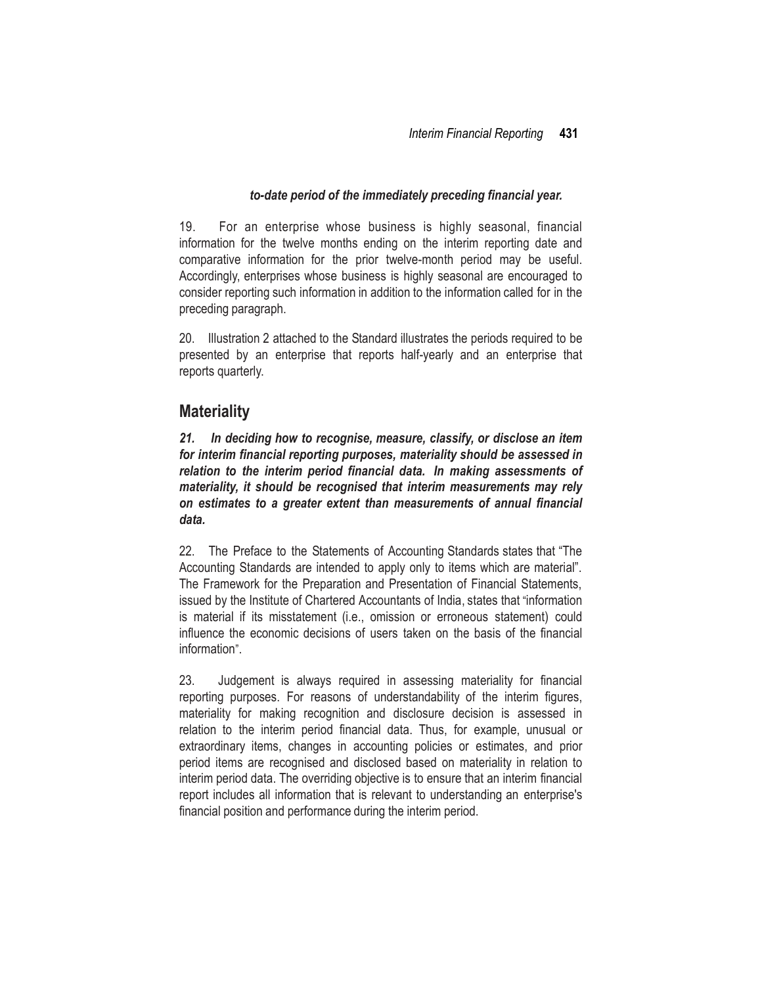### *to-date period of the immediately preceding financial year.*

19. For an enterprise whose business is highly seasonal, financial information for the twelve months ending on the interim reporting date and comparative information for the prior twelve-month period may be useful. Accordingly, enterprises whose business is highly seasonal are encouraged to consider reporting such information in addition to the information called for in the preceding paragraph.

20. Illustration 2 attached to the Standard illustrates the periods required to be presented by an enterprise that reports half-yearly and an enterprise that reports quarterly.

## **Materiality**

*21. In deciding how to recognise, measure, classify, or disclose an item for interim financial reporting purposes, materiality should be assessed in relation to the interim period financial data. In making assessments of materiality, it should be recognised that interim measurements may rely on estimates to a greater extent than measurements of annual financial data.*

22. The Preface to the Statements of Accounting Standards states that "The Accounting Standards are intended to apply only to items which are material". The Framework for the Preparation and Presentation of Financial Statements, issued by the Institute of Chartered Accountants of India, states that "information is material if its misstatement (i.e., omission or erroneous statement) could influence the economic decisions of users taken on the basis of the financial information".

23. Judgement is always required in assessing materiality for financial reporting purposes. For reasons of understandability of the interim figures, materiality for making recognition and disclosure decision is assessed in relation to the interim period financial data. Thus, for example, unusual or extraordinary items, changes in accounting policies or estimates, and prior period items are recognised and disclosed based on materiality in relation to interim period data. The overriding objective is to ensure that an interim financial report includes all information that is relevant to understanding an enterprise's financial position and performance during the interim period.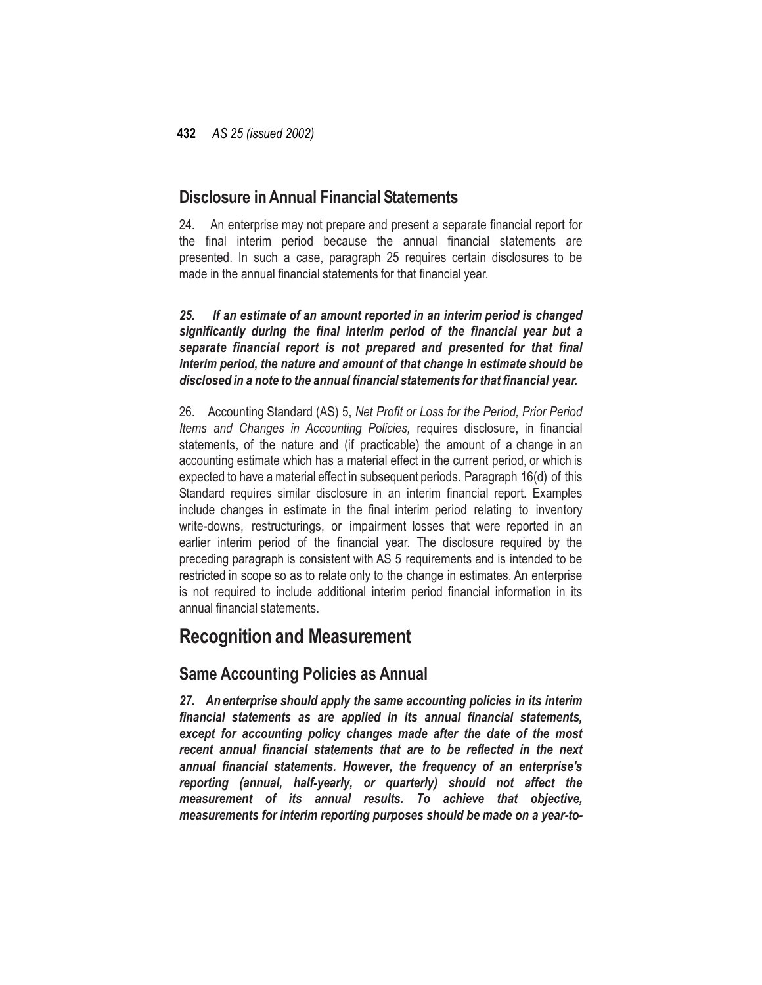## **Disclosure inAnnual Financial Statements**

24. An enterprise may not prepare and present a separate financial report for the final interim period because the annual financial statements are presented. In such a case, paragraph 25 requires certain disclosures to be made in the annual financial statements for that financial year.

*25. If an estimate of an amount reported in an interim period is changed significantly during the final interim period of the financial year but a separate financial report is not prepared and presented for that final interim period, the nature and amount of that change in estimate should be disclosed in a note to the annual financial statements for that financial year.*

26. Accounting Standard (AS) 5, *Net Profit or Loss for the Period, Prior Period Items and Changes in Accounting Policies,* requires disclosure, in financial statements, of the nature and (if practicable) the amount of a change in an accounting estimate which has a material effect in the current period, or which is expected to have a material effect in subsequent periods. Paragraph 16(d) of this Standard requires similar disclosure in an interim financial report. Examples include changes in estimate in the final interim period relating to inventory write-downs, restructurings, or impairment losses that were reported in an earlier interim period of the financial year. The disclosure required by the preceding paragraph is consistent with AS 5 requirements and is intended to be restricted in scope so as to relate only to the change in estimates. An enterprise is not required to include additional interim period financial information in its annual financial statements.

# **Recognition and Measurement**

# **Same Accounting Policies as Annual**

*27. An enterprise should apply the same accounting policies in its interim financial statements as are applied in its annual financial statements, except for accounting policy changes made after the date of the most recent annual financial statements that are to be reflected in the next annual financial statements. However, the frequency of an enterprise's reporting (annual, half-yearly, or quarterly) should not affect the measurement of its annual results. To achieve that objective, measurements for interim reporting purposes should be made on a year-to-*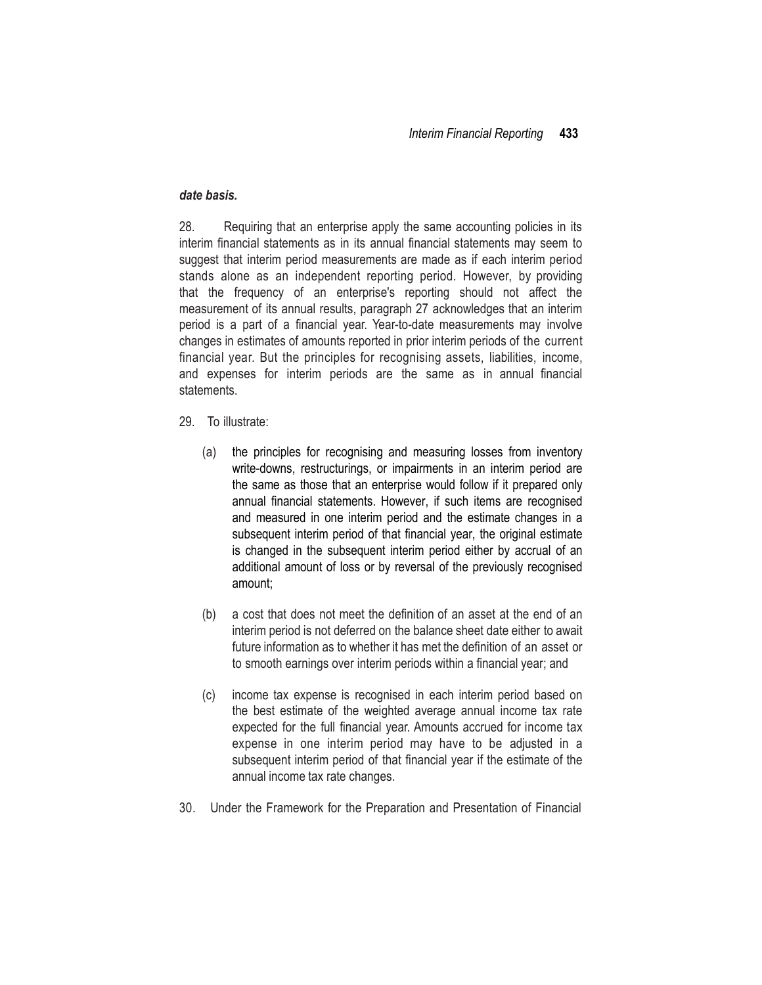### *date basis.*

28. Requiring that an enterprise apply the same accounting policies in its interim financial statements as in its annual financial statements may seem to suggest that interim period measurements are made as if each interim period stands alone as an independent reporting period. However, by providing that the frequency of an enterprise's reporting should not affect the measurement of its annual results, paragraph 27 acknowledges that an interim period is a part of a financial year. Year-to-date measurements may involve changes in estimates of amounts reported in prior interim periods of the current financial year. But the principles for recognising assets, liabilities, income, and expenses for interim periods are the same as in annual financial statements.

- 29. To illustrate:
	- (a) the principles for recognising and measuring losses from inventory write-downs, restructurings, or impairments in an interim period are the same as those that an enterprise would follow if it prepared only annual financial statements. However, if such items are recognised and measured in one interim period and the estimate changes in a subsequent interim period of that financial year, the original estimate is changed in the subsequent interim period either by accrual of an additional amount of loss or by reversal of the previously recognised amount;
	- (b) a cost that does not meet the definition of an asset at the end of an interim period is not deferred on the balance sheet date either to await future information as to whether it has met the definition of an asset or to smooth earnings over interim periods within a financial year; and
	- (c) income tax expense is recognised in each interim period based on the best estimate of the weighted average annual income tax rate expected for the full financial year. Amounts accrued for income tax expense in one interim period may have to be adjusted in a subsequent interim period of that financial year if the estimate of the annual income tax rate changes.
- 30. Under the Framework for the Preparation and Presentation of Financial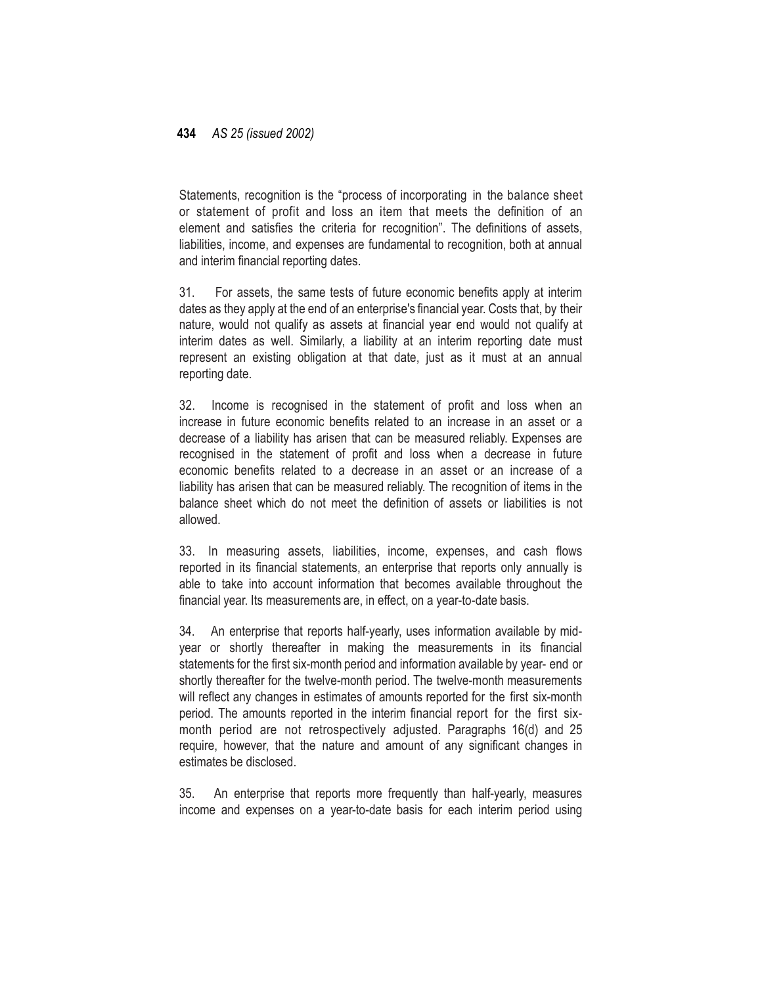Statements, recognition is the "process of incorporating in the balance sheet or statement of profit and loss an item that meets the definition of an element and satisfies the criteria for recognition". The definitions of assets, liabilities, income, and expenses are fundamental to recognition, both at annual and interim financial reporting dates.

31. For assets, the same tests of future economic benefits apply at interim dates as they apply at the end of an enterprise's financial year. Costs that, by their nature, would not qualify as assets at financial year end would not qualify at interim dates as well. Similarly, a liability at an interim reporting date must represent an existing obligation at that date, just as it must at an annual reporting date.

32. Income is recognised in the statement of profit and loss when an increase in future economic benefits related to an increase in an asset or a decrease of a liability has arisen that can be measured reliably. Expenses are recognised in the statement of profit and loss when a decrease in future economic benefits related to a decrease in an asset or an increase of a liability has arisen that can be measured reliably. The recognition of items in the balance sheet which do not meet the definition of assets or liabilities is not allowed.

33. In measuring assets, liabilities, income, expenses, and cash flows reported in its financial statements, an enterprise that reports only annually is able to take into account information that becomes available throughout the financial year. Its measurements are, in effect, on a year-to-date basis.

34. An enterprise that reports half-yearly, uses information available by midyear or shortly thereafter in making the measurements in its financial statements for the first six-month period and information available by year- end or shortly thereafter for the twelve-month period. The twelve-month measurements will reflect any changes in estimates of amounts reported for the first six-month period. The amounts reported in the interim financial report for the first sixmonth period are not retrospectively adjusted. Paragraphs 16(d) and 25 require, however, that the nature and amount of any significant changes in estimates be disclosed.

35. An enterprise that reports more frequently than half-yearly, measures income and expenses on a year-to-date basis for each interim period using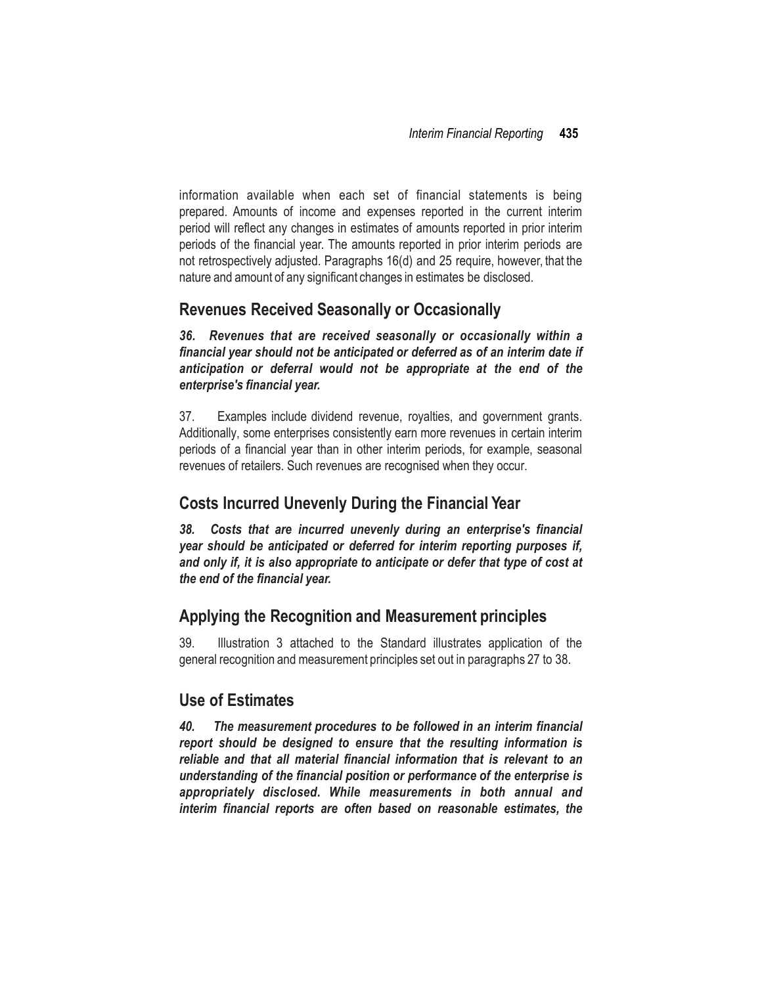information available when each set of financial statements is being prepared. Amounts of income and expenses reported in the current interim period will reflect any changes in estimates of amounts reported in prior interim periods of the financial year. The amounts reported in prior interim periods are not retrospectively adjusted. Paragraphs 16(d) and 25 require, however, that the nature and amount of any significant changes in estimates be disclosed.

## **Revenues Received Seasonally or Occasionally**

*36. Revenues that are received seasonally or occasionally within a financial year should not be anticipated or deferred as of an interim date if anticipation or deferral would not be appropriate at the end of the enterprise's financial year.*

37. Examples include dividend revenue, royalties, and government grants. Additionally, some enterprises consistently earn more revenues in certain interim periods of a financial year than in other interim periods, for example, seasonal revenues of retailers. Such revenues are recognised when they occur.

## **Costs Incurred Unevenly During the Financial Year**

*38. Costs that are incurred unevenly during an enterprise's financial year should be anticipated or deferred for interim reporting purposes if, and only if, it is also appropriate to anticipate or defer that type of cost at the end of the financial year.*

## **Applying the Recognition and Measurement principles**

39. Illustration 3 attached to the Standard illustrates application of the general recognition and measurement principles set out in paragraphs 27 to 38.

## **Use of Estimates**

*40. The measurement procedures to be followed in an interim financial report should be designed to ensure that the resulting information is reliable and that all material financial information that is relevant to an understanding of the financial position or performance of the enterprise is appropriately disclosed. While measurements in both annual and interim financial reports are often based on reasonable estimates, the*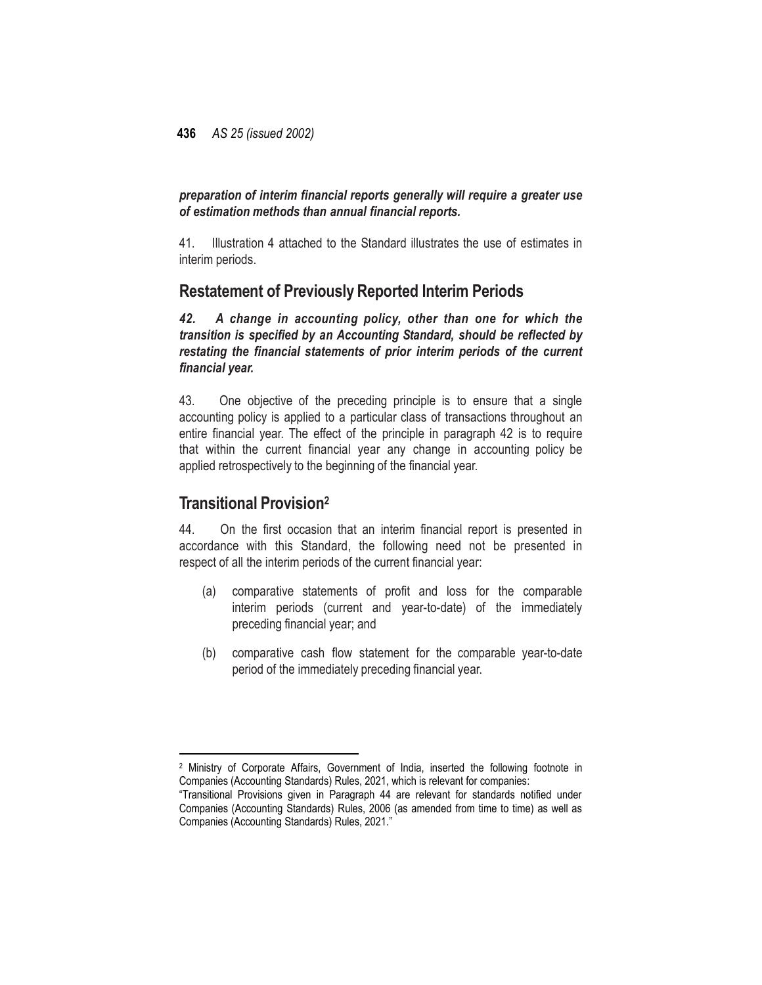### *preparation of interim financial reports generally will require a greater use of estimation methods than annual financial reports.*

41. Illustration 4 attached to the Standard illustrates the use of estimates in interim periods.

## **Restatement of Previously Reported Interim Periods**

*42. A change in accounting policy, other than one for which the transition is specified by an Accounting Standard, should be reflected by restating the financial statements of prior interim periods of the current financial year.*

43. One objective of the preceding principle is to ensure that a single accounting policy is applied to a particular class of transactions throughout an entire financial year. The effect of the principle in paragraph 42 is to require that within the current financial year any change in accounting policy be applied retrospectively to the beginning of the financial year.

## **Transitional Provision<sup>2</sup>**

l

44. On the first occasion that an interim financial report is presented in accordance with this Standard, the following need not be presented in respect of all the interim periods of the current financial year:

- (a) comparative statements of profit and loss for the comparable interim periods (current and year-to-date) of the immediately preceding financial year; and
- (b) comparative cash flow statement for the comparable year-to-date period of the immediately preceding financial year.

<sup>2</sup> Ministry of Corporate Affairs, Government of India, inserted the following footnote in Companies (Accounting Standards) Rules, 2021, which is relevant for companies:

<sup>&</sup>quot;Transitional Provisions given in Paragraph 44 are relevant for standards notified under Companies (Accounting Standards) Rules, 2006 (as amended from time to time) as well as Companies (Accounting Standards) Rules, 2021."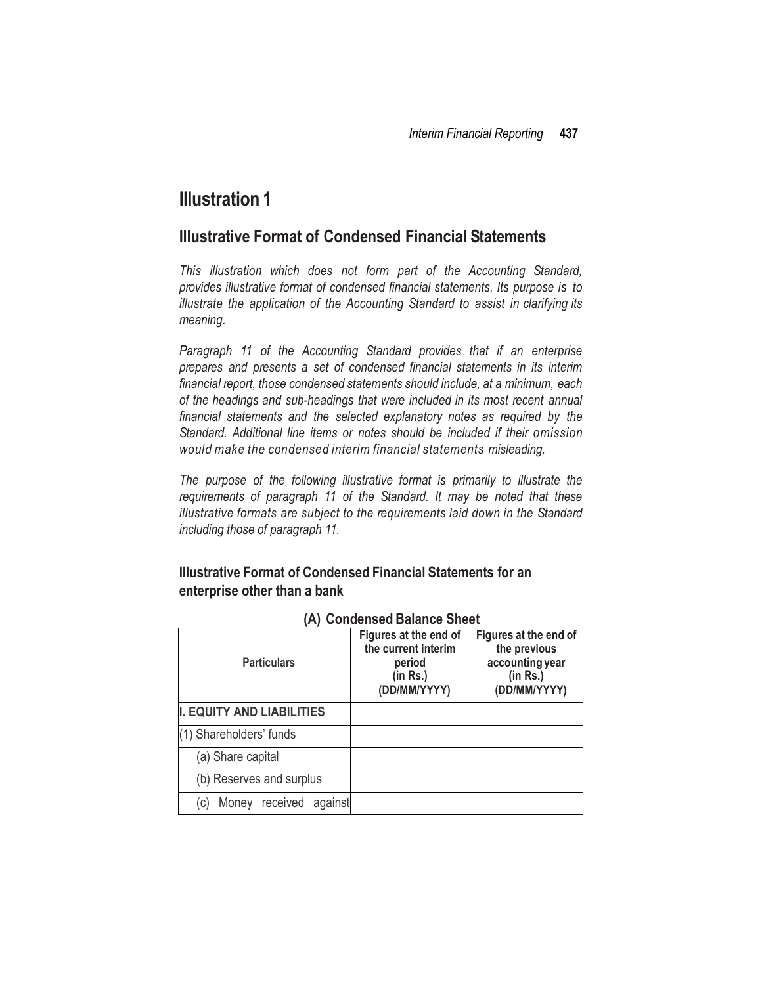# **Illustration 1**

## **Illustrative Format of Condensed Financial Statements**

*This illustration which does not form part of the Accounting Standard, provides illustrative format of condensed financial statements. Its purpose is to illustrate the application of the Accounting Standard to assist in clarifying its meaning.*

*Paragraph 11 of the Accounting Standard provides that if an enterprise prepares and presents a set of condensed financial statements in its interim financial report, those condensed statements should include, at a minimum, each of the headings and sub-headings that were included in its most recent annual financial statements and the selected explanatory notes as required by the Standard. Additional line items or notes should be included if their omission would make the condensed interim financial statements misleading.*

*The purpose of the following illustrative format is primarily to illustrate the requirements of paragraph 11 of the Standard. It may be noted that these illustrative formats are subject to the requirements laid down in the Standard including those of paragraph 11.*

## **Illustrative Format of Condensed Financial Statements for an enterprise other than a bank**

| INT OUNCHSCU DURING ONCE                  |                                                                                    |                                                                                      |  |  |  |
|-------------------------------------------|------------------------------------------------------------------------------------|--------------------------------------------------------------------------------------|--|--|--|
| <b>Particulars</b>                        | Figures at the end of<br>the current interim<br>period<br>(in Rs.)<br>(DD/MM/YYYY) | Figures at the end of<br>the previous<br>accounting year<br>(in Rs.)<br>(DD/MM/YYYY) |  |  |  |
| I. EQUITY AND LIABILITIES                 |                                                                                    |                                                                                      |  |  |  |
| (1) Shareholders' funds                   |                                                                                    |                                                                                      |  |  |  |
| (a) Share capital                         |                                                                                    |                                                                                      |  |  |  |
| (b) Reserves and surplus                  |                                                                                    |                                                                                      |  |  |  |
| Money received<br>against<br>$\mathsf{C}$ |                                                                                    |                                                                                      |  |  |  |

|  | (A) Condensed Balance Sheet |  |  |
|--|-----------------------------|--|--|
|--|-----------------------------|--|--|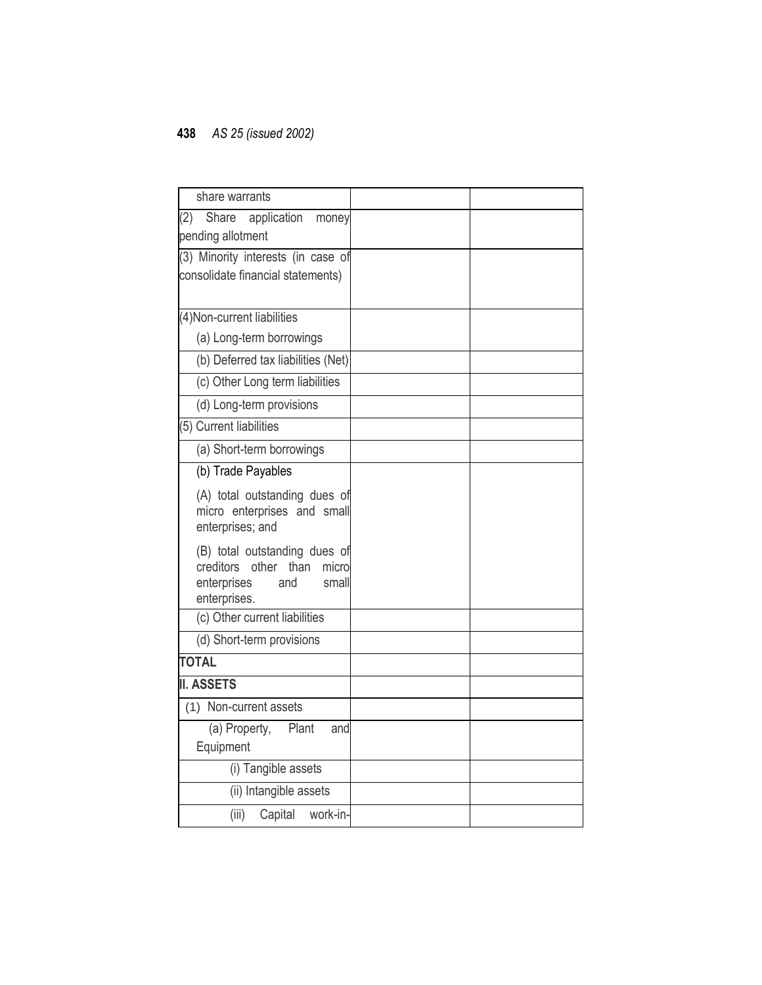| share warrants                                                                                                      |  |
|---------------------------------------------------------------------------------------------------------------------|--|
| (2)<br>Share<br>application<br>money<br>pending allotment                                                           |  |
| (3) Minority interests (in case of<br>consolidate financial statements)                                             |  |
| (4) Non-current liabilities                                                                                         |  |
| (a) Long-term borrowings                                                                                            |  |
| (b) Deferred tax liabilities (Net)                                                                                  |  |
| (c) Other Long term liabilities                                                                                     |  |
| (d) Long-term provisions                                                                                            |  |
| (5) Current liabilities                                                                                             |  |
| (a) Short-term borrowings                                                                                           |  |
| (b) Trade Payables                                                                                                  |  |
| (A) total outstanding dues of<br>micro enterprises and small<br>enterprises; and                                    |  |
| (B) total outstanding dues of<br>creditors<br>other<br>than<br>micro<br>enterprises<br>and<br>small<br>enterprises. |  |
| (c) Other current liabilities                                                                                       |  |
| (d) Short-term provisions                                                                                           |  |
| <b>TOTAL</b>                                                                                                        |  |
| <b>II. ASSETS</b>                                                                                                   |  |
| (1) Non-current assets                                                                                              |  |
| (a) Property, Plant<br>and<br>Equipment                                                                             |  |
| (i) Tangible assets                                                                                                 |  |
| (ii) Intangible assets                                                                                              |  |
| (iii)<br>Capital<br>work-in-                                                                                        |  |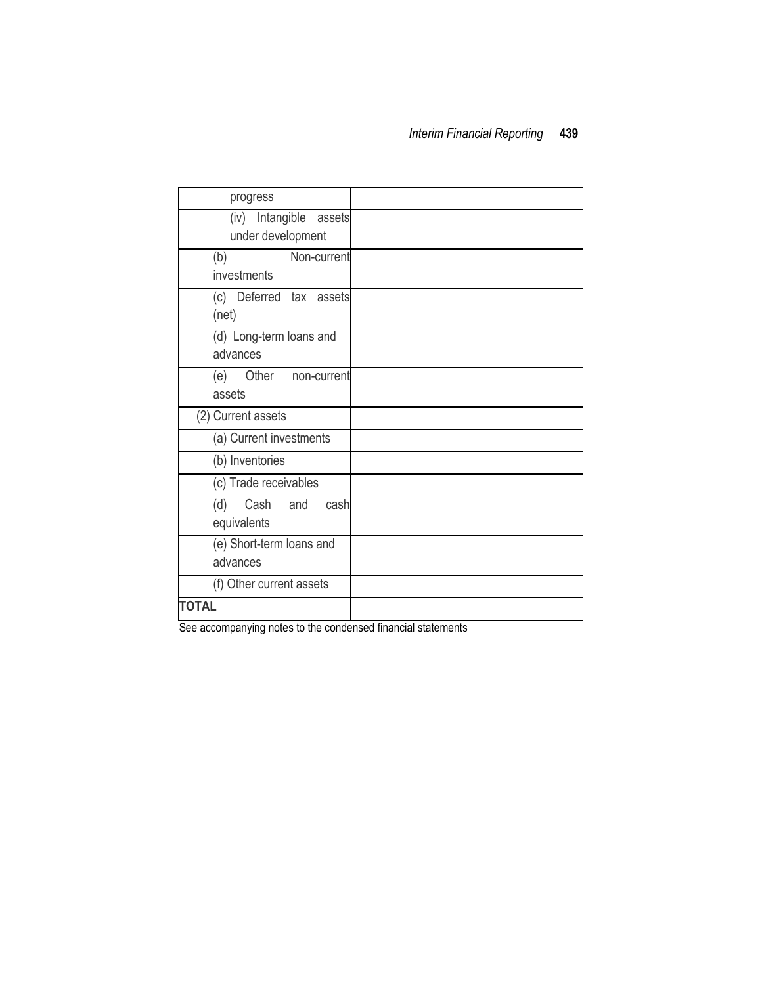| progress                                       |  |
|------------------------------------------------|--|
| Intangible assets<br>(iv)<br>under development |  |
|                                                |  |
| Non-current<br>(b)<br>investments              |  |
| (c) Deferred tax assets<br>(net)               |  |
| (d) Long-term loans and<br>advances            |  |
| Other non-current<br>(e)<br>assets             |  |
| (2) Current assets                             |  |
| (a) Current investments                        |  |
| (b) Inventories                                |  |
| (c) Trade receivables                          |  |
| Cash<br>(d)<br>and<br>cash<br>equivalents      |  |
| (e) Short-term loans and<br>advances           |  |
| (f) Other current assets                       |  |
| <b>TOTAL</b>                                   |  |

See accompanying notes to the condensed financial statements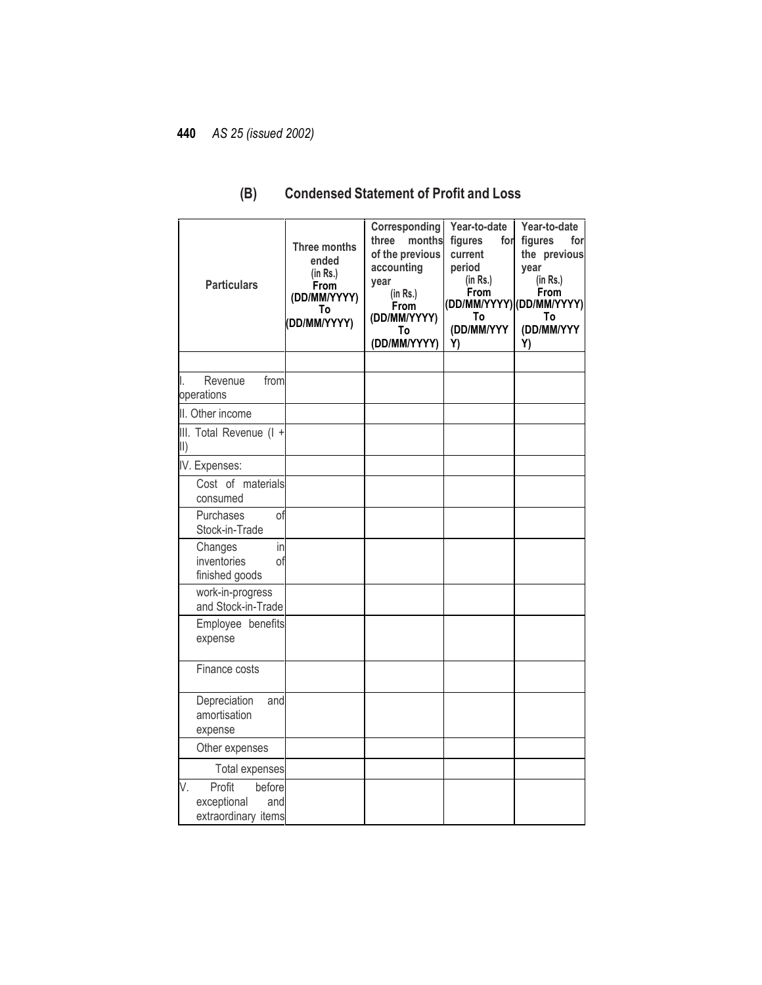| <b>Particulars</b>                                                  | Three months<br>ended<br>(in Rs.)<br>From<br>(DD/MM/YYYY)<br>To<br>(DD/MM/YYYY) | Corresponding<br>months<br>three<br>of the previous<br>accounting<br>year<br>(in Rs.)<br>From<br>(DD/MM/YYYY)<br>To<br>(DD/MM/YYYY) | Year-to-date<br>figures<br>for<br>current<br>period<br>(in Rs.)<br>From<br>To<br>(DD/MM/YYY<br>Y) | Year-to-date<br>figures<br>forl<br>the previous<br>year<br>(in Rs.)<br><b>From</b><br>(DD/MM/YYYY) (DD/MM/YYYY)<br>To<br>(DD/MM/YYY<br>Y) |
|---------------------------------------------------------------------|---------------------------------------------------------------------------------|-------------------------------------------------------------------------------------------------------------------------------------|---------------------------------------------------------------------------------------------------|-------------------------------------------------------------------------------------------------------------------------------------------|
|                                                                     |                                                                                 |                                                                                                                                     |                                                                                                   |                                                                                                                                           |
| Revenue<br>from<br>I.<br>operations                                 |                                                                                 |                                                                                                                                     |                                                                                                   |                                                                                                                                           |
| II. Other income                                                    |                                                                                 |                                                                                                                                     |                                                                                                   |                                                                                                                                           |
| III. Total Revenue (I +<br>II)                                      |                                                                                 |                                                                                                                                     |                                                                                                   |                                                                                                                                           |
| IV. Expenses:                                                       |                                                                                 |                                                                                                                                     |                                                                                                   |                                                                                                                                           |
| Cost of materials<br>consumed                                       |                                                                                 |                                                                                                                                     |                                                                                                   |                                                                                                                                           |
| Purchases<br>of<br>Stock-in-Trade                                   |                                                                                 |                                                                                                                                     |                                                                                                   |                                                                                                                                           |
| Changes<br>in<br>inventories<br>οf<br>finished goods                |                                                                                 |                                                                                                                                     |                                                                                                   |                                                                                                                                           |
| work-in-progress<br>and Stock-in-Trade                              |                                                                                 |                                                                                                                                     |                                                                                                   |                                                                                                                                           |
| Employee benefits<br>expense                                        |                                                                                 |                                                                                                                                     |                                                                                                   |                                                                                                                                           |
| Finance costs                                                       |                                                                                 |                                                                                                                                     |                                                                                                   |                                                                                                                                           |
| Depreciation<br>and<br>amortisation<br>expense                      |                                                                                 |                                                                                                                                     |                                                                                                   |                                                                                                                                           |
| Other expenses                                                      |                                                                                 |                                                                                                                                     |                                                                                                   |                                                                                                                                           |
| <b>Total expenses</b>                                               |                                                                                 |                                                                                                                                     |                                                                                                   |                                                                                                                                           |
| V.<br>Profit<br>before<br>exceptional<br>and<br>extraordinary items |                                                                                 |                                                                                                                                     |                                                                                                   |                                                                                                                                           |

## **(B) Condensed Statement of Profit and Loss**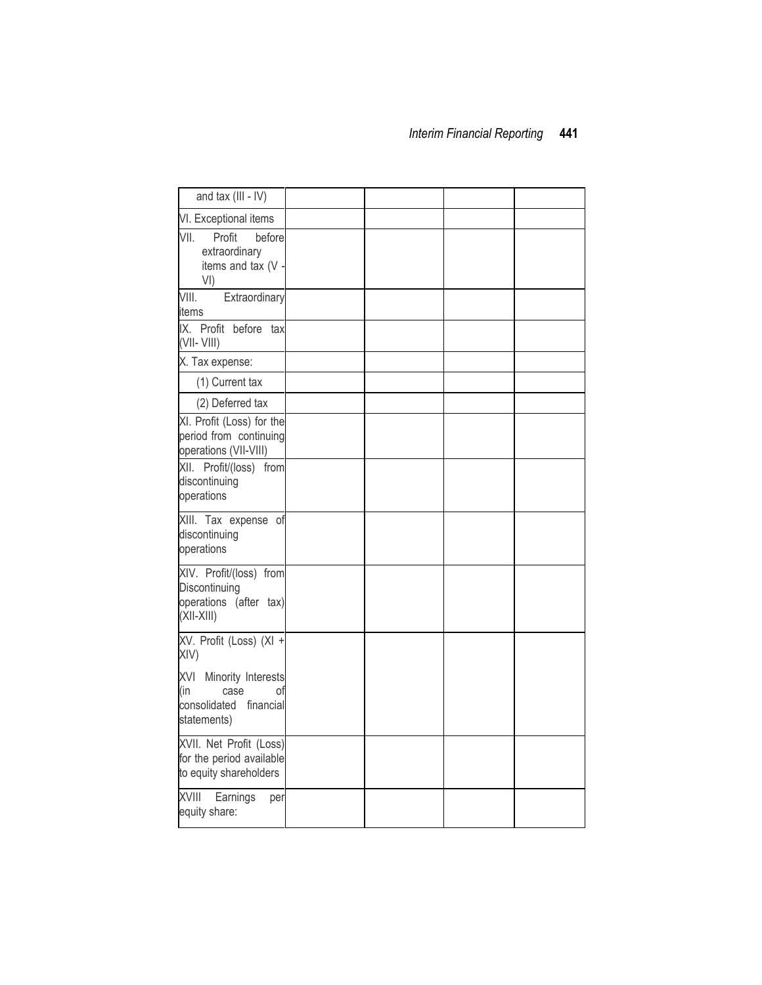| and tax (III - IV)                                                                         |  |  |
|--------------------------------------------------------------------------------------------|--|--|
| VI. Exceptional items                                                                      |  |  |
| VII.<br>Profit<br>before<br>extraordinary<br>items and tax (V<br>VI)                       |  |  |
| VIII.<br>Extraordinary<br>items                                                            |  |  |
| IX. Profit before tax<br>$(VII - VIII)$                                                    |  |  |
| X. Tax expense:                                                                            |  |  |
| (1) Current tax                                                                            |  |  |
| (2) Deferred tax                                                                           |  |  |
| XI. Profit (Loss) for the<br>period from continuing<br>operations (VII-VIII)               |  |  |
| XII. Profit/(loss) from<br>discontinuing<br>operations                                     |  |  |
| XIII. Tax expense of<br>discontinuing<br>operations                                        |  |  |
| XIV. Profit/(loss) from<br>Discontinuing<br>operations (after tax)<br>$(XII-XIII)$         |  |  |
| XV. Profit (Loss) (XI +<br>XIV)                                                            |  |  |
| XVI<br>Minority Interests<br>(in<br>case<br>0t<br>consolidated<br>financial<br>statements) |  |  |
| XVII. Net Profit (Loss)<br>for the period available<br>to equity shareholders              |  |  |
| <b>XVIII</b><br>Earnings<br>per<br>equity share:                                           |  |  |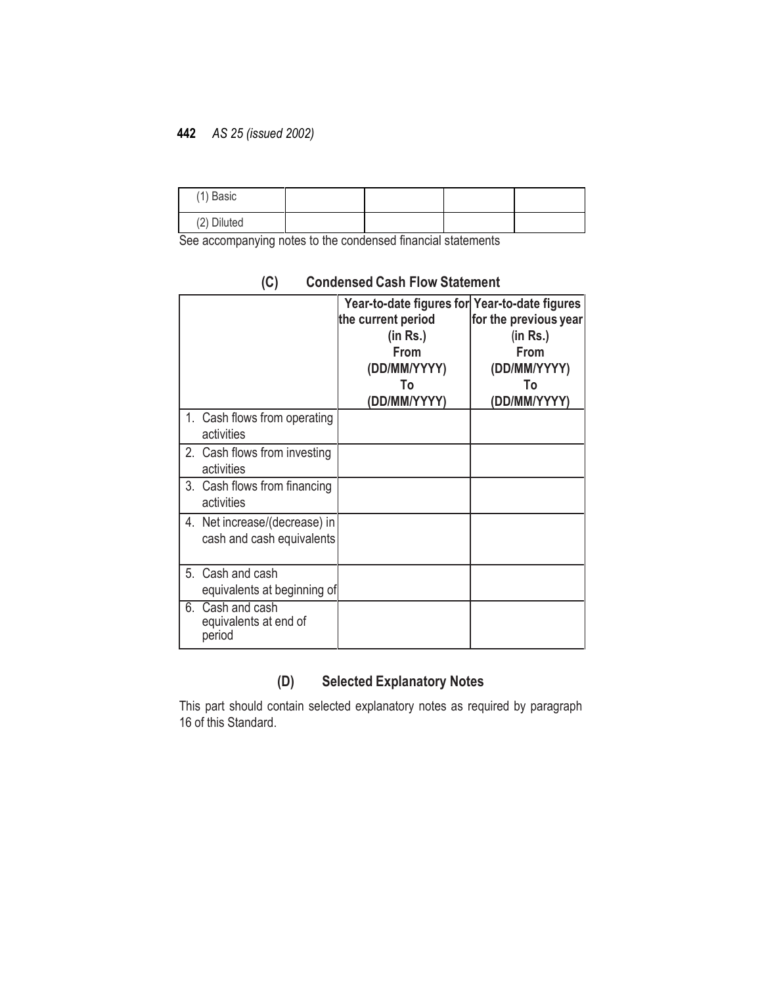| (1) Basic   |  |  |
|-------------|--|--|
| (2) Diluted |  |  |

See accompanying notes to the condensed financial statements

|    |                                                            | Year-to-date figures for Year-to-date figures<br>the current period<br>(in Rs.)<br>From<br>(DD/MM/YYYY)<br>To<br>(DD/MM/YYYY) | for the previous year<br>(in Rs.)<br>From<br>(DD/MM/YYYY)<br>To<br>(DD/MM/YYYY) |
|----|------------------------------------------------------------|-------------------------------------------------------------------------------------------------------------------------------|---------------------------------------------------------------------------------|
|    | 1. Cash flows from operating<br>activities                 |                                                                                                                               |                                                                                 |
|    | 2. Cash flows from investing<br>activities                 |                                                                                                                               |                                                                                 |
| 3. | Cash flows from financing<br>activities                    |                                                                                                                               |                                                                                 |
|    | 4. Net increase/(decrease) in<br>cash and cash equivalents |                                                                                                                               |                                                                                 |
|    | 5. Cash and cash<br>equivalents at beginning of            |                                                                                                                               |                                                                                 |
| 6. | Cash and cash<br>equivalents at end of<br>period           |                                                                                                                               |                                                                                 |

## **(C) Condensed Cash Flow Statement**

## **(D) Selected Explanatory Notes**

This part should contain selected explanatory notes as required by paragraph 16 of this Standard.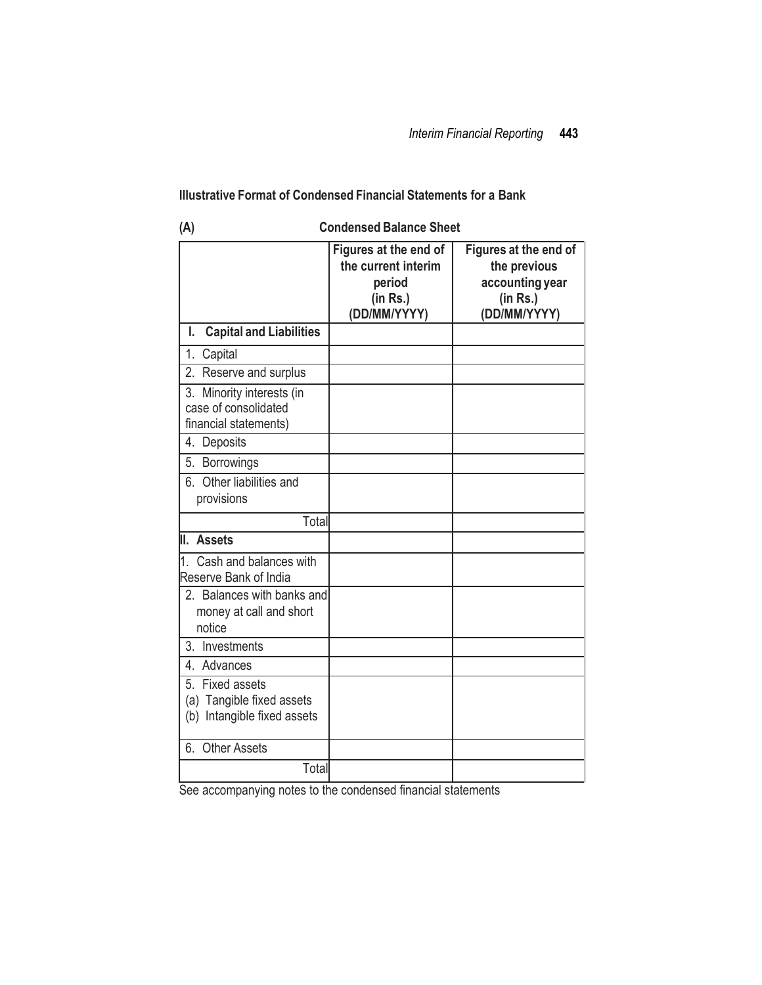### **Illustrative Format of Condensed Financial Statements for a Bank**

| (A)                                                                                      | <b>Condensed Balance Sheet</b>                                                     |                                                                                      |  |  |
|------------------------------------------------------------------------------------------|------------------------------------------------------------------------------------|--------------------------------------------------------------------------------------|--|--|
|                                                                                          | Figures at the end of<br>the current interim<br>period<br>(in Rs.)<br>(DD/MM/YYYY) | Figures at the end of<br>the previous<br>accounting year<br>(in Rs.)<br>(DD/MM/YYYY) |  |  |
| <b>Capital and Liabilities</b><br>I.                                                     |                                                                                    |                                                                                      |  |  |
| 1.<br>Capital                                                                            |                                                                                    |                                                                                      |  |  |
| 2.<br>Reserve and surplus                                                                |                                                                                    |                                                                                      |  |  |
| 3. Minority interests (in<br>case of consolidated<br>financial statements)               |                                                                                    |                                                                                      |  |  |
| 4. Deposits                                                                              |                                                                                    |                                                                                      |  |  |
| 5.<br><b>Borrowings</b>                                                                  |                                                                                    |                                                                                      |  |  |
| 6. Other liabilities and<br>provisions                                                   |                                                                                    |                                                                                      |  |  |
| Total                                                                                    |                                                                                    |                                                                                      |  |  |
| II. Assets                                                                               |                                                                                    |                                                                                      |  |  |
| 1. Cash and balances with<br>Reserve Bank of India                                       |                                                                                    |                                                                                      |  |  |
| 2. Balances with banks and<br>money at call and short<br>notice                          |                                                                                    |                                                                                      |  |  |
| 3. Investments                                                                           |                                                                                    |                                                                                      |  |  |
| 4. Advances                                                                              |                                                                                    |                                                                                      |  |  |
| 5.<br><b>Fixed assets</b><br>(a) Tangible fixed assets<br>Intangible fixed assets<br>(b) |                                                                                    |                                                                                      |  |  |
| <b>Other Assets</b><br>6.                                                                |                                                                                    |                                                                                      |  |  |
| Total                                                                                    |                                                                                    |                                                                                      |  |  |

See accompanying notes to the condensed financial statements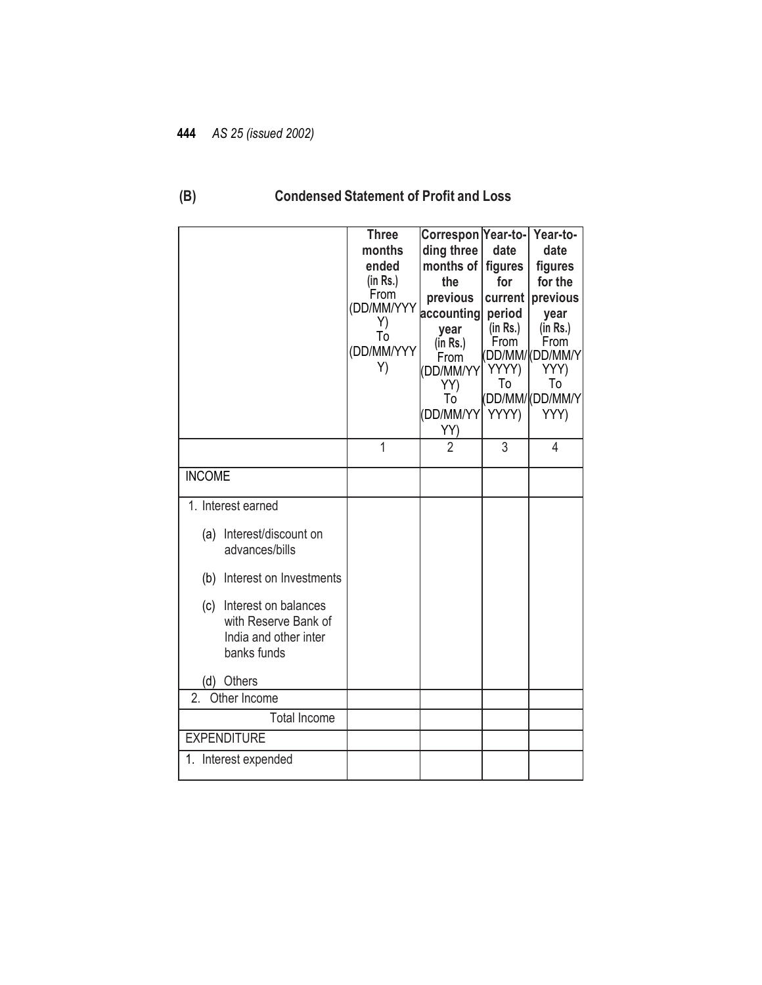# **(B) Condensed Statement of Profit and Loss**

|                                                                                             | <b>Three</b>     | Correspon Year-to-    |                    | Year-to-                      |
|---------------------------------------------------------------------------------------------|------------------|-----------------------|--------------------|-------------------------------|
|                                                                                             | months           | ding three            | date               | date                          |
|                                                                                             | ended            | months of             | figures            | figures                       |
|                                                                                             | (in Rs.)<br>From | the                   | for                | for the                       |
|                                                                                             | (DD/MM/YYY       | previous              | current            | previous                      |
|                                                                                             | Y)               | accounting            | period<br>(in Rs.) | year<br>(in Rs.)              |
|                                                                                             | Τó               | year<br>(in Rs.)      | From               | From                          |
|                                                                                             | (DD/MM/YYY       | From                  |                    | (DD/MM/ <mark>(DD/MM/Y</mark> |
|                                                                                             | Y)               | DD/MM/YY              | YYYY)              | YYY)                          |
|                                                                                             |                  | YY)                   | To                 | To                            |
|                                                                                             |                  | To                    |                    | (DD/MM/ <mark>(DD/MM/Y</mark> |
|                                                                                             |                  | DD/MM/YY              | YYYY)              | YYY)                          |
|                                                                                             | $\overline{1}$   | YY)<br>$\overline{2}$ |                    |                               |
|                                                                                             |                  |                       | 3                  | 4                             |
| <b>INCOME</b>                                                                               |                  |                       |                    |                               |
| 1. Interest earned                                                                          |                  |                       |                    |                               |
| Interest/discount on<br>(a)<br>advances/bills                                               |                  |                       |                    |                               |
| Interest on Investments<br>(b)                                                              |                  |                       |                    |                               |
| Interest on balances<br>(c)<br>with Reserve Bank of<br>India and other inter<br>banks funds |                  |                       |                    |                               |
| Others<br>(d)                                                                               |                  |                       |                    |                               |
| 2.<br>Other Income                                                                          |                  |                       |                    |                               |
| <b>Total Income</b>                                                                         |                  |                       |                    |                               |
| <b>EXPENDITURE</b>                                                                          |                  |                       |                    |                               |
| 1. Interest expended                                                                        |                  |                       |                    |                               |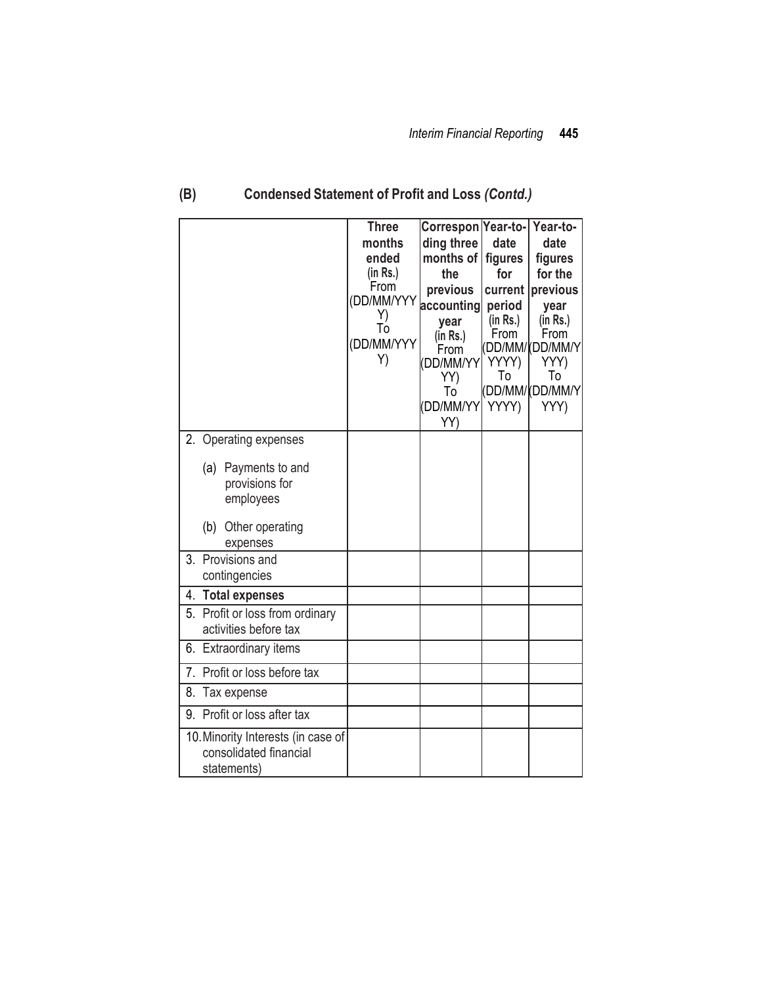|                                                                             | <b>Three</b><br>months<br>ended<br>(in Rs.)<br>From<br>(DD/MM/YYY<br>Y)<br>Тó<br>(DD/MM/YYY<br>Y) | Correspon Year-to-<br>ding three<br>months of<br>the<br>previous<br>accounting<br>year<br>(in Rs.)<br>From<br>(DD/MM/YY<br>YY)<br>To<br>(DD/MM/YY | date<br>figures<br>for<br>current  <br>period<br>(in Rs.)<br>From<br>YYYY)<br>To<br>YYYY) | Year-to-<br>date<br>figures<br>for the<br>previous<br>year<br>(in Rs.)<br>From<br>DD/MM/(DD/MM/Y)<br>YYY)<br>To<br>DD/MM/(DD/MM/Y)<br>YYY) |
|-----------------------------------------------------------------------------|---------------------------------------------------------------------------------------------------|---------------------------------------------------------------------------------------------------------------------------------------------------|-------------------------------------------------------------------------------------------|--------------------------------------------------------------------------------------------------------------------------------------------|
| 2. Operating expenses<br>(a) Payments to and                                |                                                                                                   | YY)                                                                                                                                               |                                                                                           |                                                                                                                                            |
| provisions for<br>employees<br>(b)                                          |                                                                                                   |                                                                                                                                                   |                                                                                           |                                                                                                                                            |
| Other operating<br>expenses                                                 |                                                                                                   |                                                                                                                                                   |                                                                                           |                                                                                                                                            |
| 3. Provisions and<br>contingencies                                          |                                                                                                   |                                                                                                                                                   |                                                                                           |                                                                                                                                            |
| 4. Total expenses                                                           |                                                                                                   |                                                                                                                                                   |                                                                                           |                                                                                                                                            |
| 5. Profit or loss from ordinary<br>activities before tax                    |                                                                                                   |                                                                                                                                                   |                                                                                           |                                                                                                                                            |
| 6. Extraordinary items                                                      |                                                                                                   |                                                                                                                                                   |                                                                                           |                                                                                                                                            |
| 7. Profit or loss before tax                                                |                                                                                                   |                                                                                                                                                   |                                                                                           |                                                                                                                                            |
| 8.<br>Tax expense                                                           |                                                                                                   |                                                                                                                                                   |                                                                                           |                                                                                                                                            |
| 9. Profit or loss after tax                                                 |                                                                                                   |                                                                                                                                                   |                                                                                           |                                                                                                                                            |
| 10. Minority Interests (in case of<br>consolidated financial<br>statements) |                                                                                                   |                                                                                                                                                   |                                                                                           |                                                                                                                                            |

# **(B) Condensed Statement of Profit and Loss** *(Contd.)*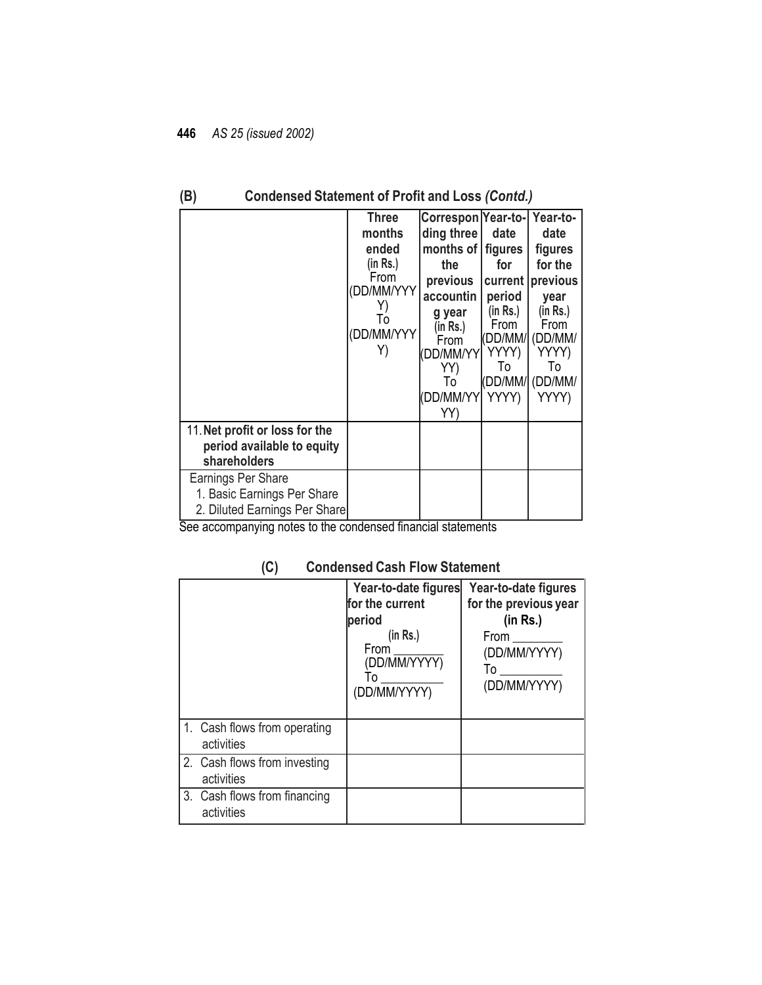|                                                                                    | <b>Three</b><br>months<br>ended<br>(in Rs.)<br>From<br>DD/MM/YYY<br>To<br>(DD/MM/YYY<br>Y) | Correspon Year-to-<br>ding three<br>months of<br>the<br>previous<br>accountin<br>g year<br>(in Rs.)<br>From<br>'DD/MM/YY<br>YY)<br>To<br>(DD/MM/YY<br>YY) | date<br>figures<br>for<br>current<br>period<br>(in Rs.)<br>From<br>'DD/MM/<br>YYYY)<br>To<br>(DD/MM/l<br>YYYY) | Year-to-<br>date<br>figures<br>for the<br>previous<br>year<br>(in Rs.)<br>From<br>(DD/MM/<br>YYYY)<br>To<br>(DD/MM/<br>YYYY) |
|------------------------------------------------------------------------------------|--------------------------------------------------------------------------------------------|-----------------------------------------------------------------------------------------------------------------------------------------------------------|----------------------------------------------------------------------------------------------------------------|------------------------------------------------------------------------------------------------------------------------------|
| 11. Net profit or loss for the<br>period available to equity<br>shareholders       |                                                                                            |                                                                                                                                                           |                                                                                                                |                                                                                                                              |
| Earnings Per Share<br>1. Basic Earnings Per Share<br>2. Diluted Earnings Per Share |                                                                                            |                                                                                                                                                           |                                                                                                                |                                                                                                                              |

## **(B) Condensed Statement of Profit and Loss** *(Contd.)*

See accompanying notes to the condensed financial statements

#### **Year-to-date figures for the current period (in Rs.)** From  $\overline{a}$ (DD/MM/YYYY)  $\dot{\sf To}$ (DD/MM/YYYY) **Year-to-date figures for the previous year (in Rs.)** From \_\_\_\_\_\_\_\_ (DD/MM/YYYY) To \_\_\_\_\_\_\_\_\_\_ (DD/MM/YYYY) 1. Cash flows from operating activities 2. Cash flows from investing activities 3. Cash flows from financing activities

### **(C) Condensed Cash Flow Statement**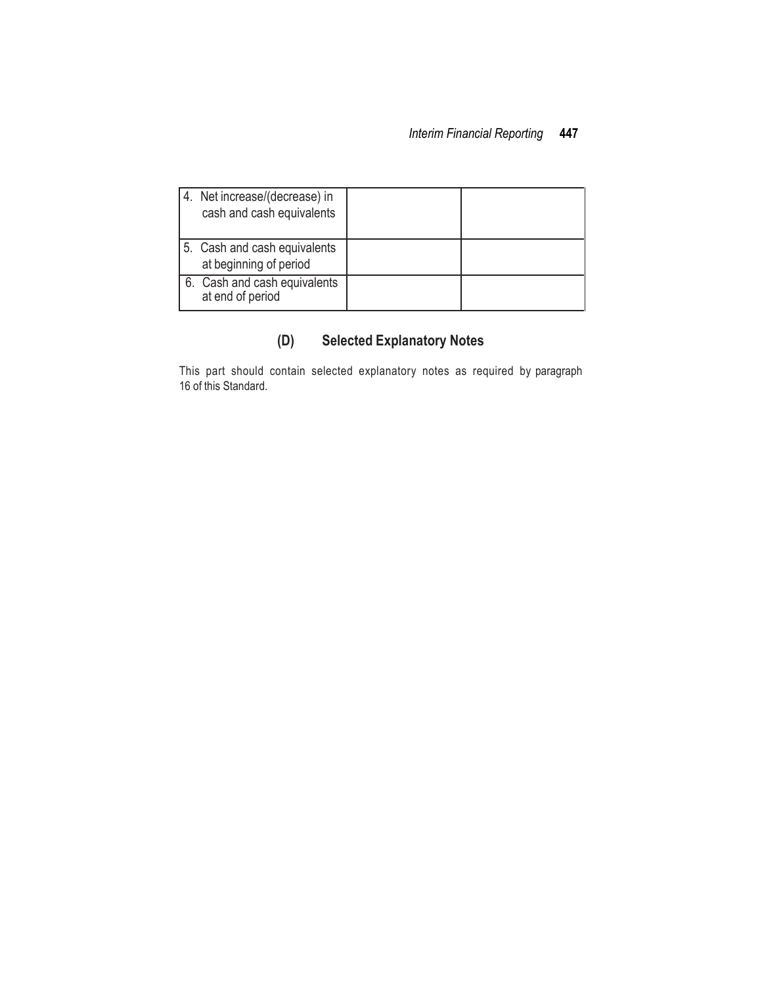| 4. Net increase/(decrease) in<br>cash and cash equivalents |  |
|------------------------------------------------------------|--|
| 5. Cash and cash equivalents<br>at beginning of period     |  |
| 6. Cash and cash equivalents<br>at end of period           |  |

# **(D) Selected Explanatory Notes**

This part should contain selected explanatory notes as required by paragraph 16 of this Standard.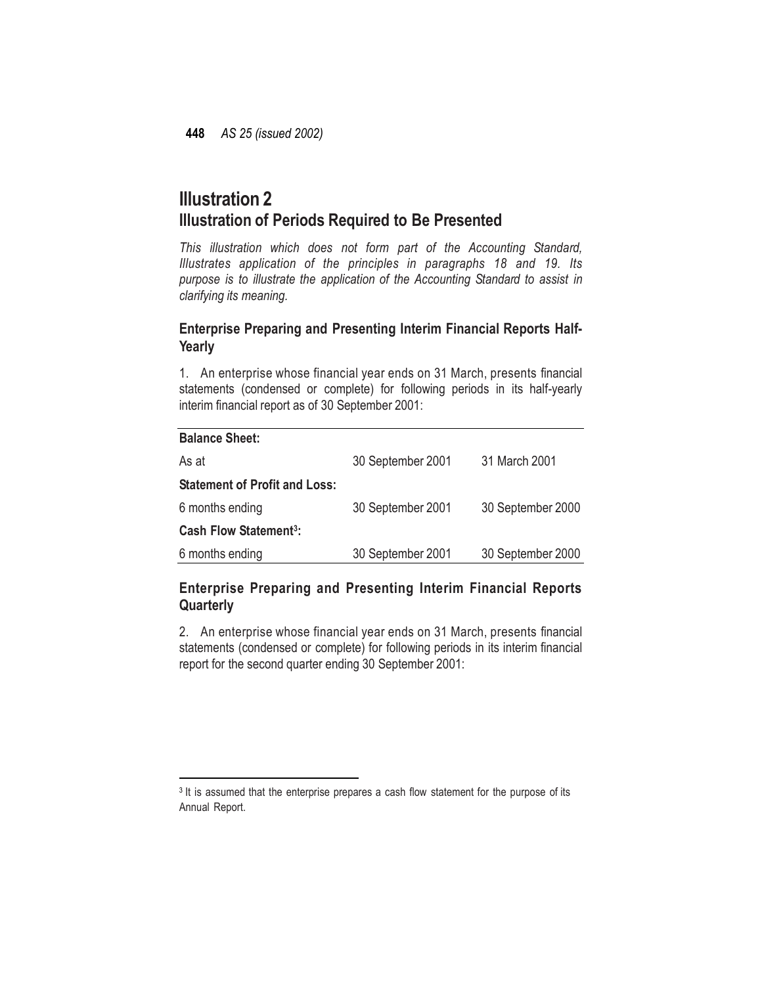# **Illustration 2 Illustration of Periods Required to Be Presented**

*This illustration which does not form part of the Accounting Standard, Illustrates application of the principles in paragraphs 18 and 19. Its purpose is to illustrate the application of the Accounting Standard to assist in clarifying its meaning.*

### **Enterprise Preparing and Presenting Interim Financial Reports Half-Yearly**

1. An enterprise whose financial year ends on 31 March, presents financial statements (condensed or complete) for following periods in its half-yearly interim financial report as of 30 September 2001:

| <b>Balance Sheet:</b>                   |                   |                   |
|-----------------------------------------|-------------------|-------------------|
| As at                                   | 30 September 2001 | 31 March 2001     |
| <b>Statement of Profit and Loss:</b>    |                   |                   |
| 6 months ending                         | 30 September 2001 | 30 September 2000 |
| <b>Cash Flow Statement<sup>3</sup>:</b> |                   |                   |
| 6 months ending                         | 30 September 2001 | 30 September 2000 |

## **Enterprise Preparing and Presenting Interim Financial Reports Quarterly**

2. An enterprise whose financial year ends on 31 March, presents financial statements (condensed or complete) for following periods in its interim financial report for the second quarter ending 30 September 2001:

 $\overline{a}$ 

<sup>&</sup>lt;sup>3</sup> It is assumed that the enterprise prepares a cash flow statement for the purpose of its Annual Report.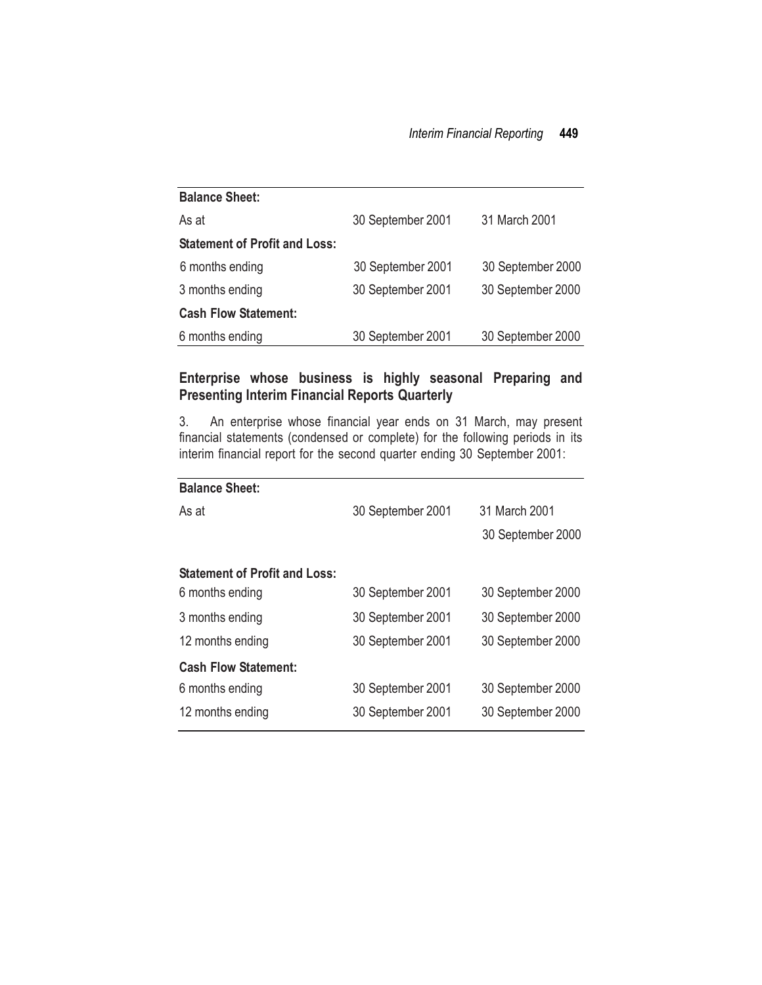| <b>Balance Sheet:</b>                |                                        |                   |
|--------------------------------------|----------------------------------------|-------------------|
| As at                                | 30 September 2001                      | 31 March 2001     |
| <b>Statement of Profit and Loss:</b> |                                        |                   |
| 6 months ending                      | 30 September 2001                      | 30 September 2000 |
| 3 months ending                      | 30 September 2001<br>30 September 2000 |                   |
| <b>Cash Flow Statement:</b>          |                                        |                   |
| 6 months ending                      | 30 September 2001                      | 30 September 2000 |

## **Enterprise whose business is highly seasonal Preparing and Presenting Interim Financial Reports Quarterly**

3. An enterprise whose financial year ends on 31 March, may present financial statements (condensed or complete) for the following periods in its interim financial report for the second quarter ending 30 September 2001:

| <b>Balance Sheet:</b>                |                   |                   |
|--------------------------------------|-------------------|-------------------|
| As at                                | 30 September 2001 | 31 March 2001     |
|                                      |                   | 30 September 2000 |
| <b>Statement of Profit and Loss:</b> |                   |                   |
| 6 months ending                      | 30 September 2001 | 30 September 2000 |
| 3 months ending                      | 30 September 2001 | 30 September 2000 |
| 12 months ending                     | 30 September 2001 | 30 September 2000 |
| <b>Cash Flow Statement:</b>          |                   |                   |
| 6 months ending                      | 30 September 2001 | 30 September 2000 |
| 12 months ending                     | 30 September 2001 | 30 September 2000 |
|                                      |                   |                   |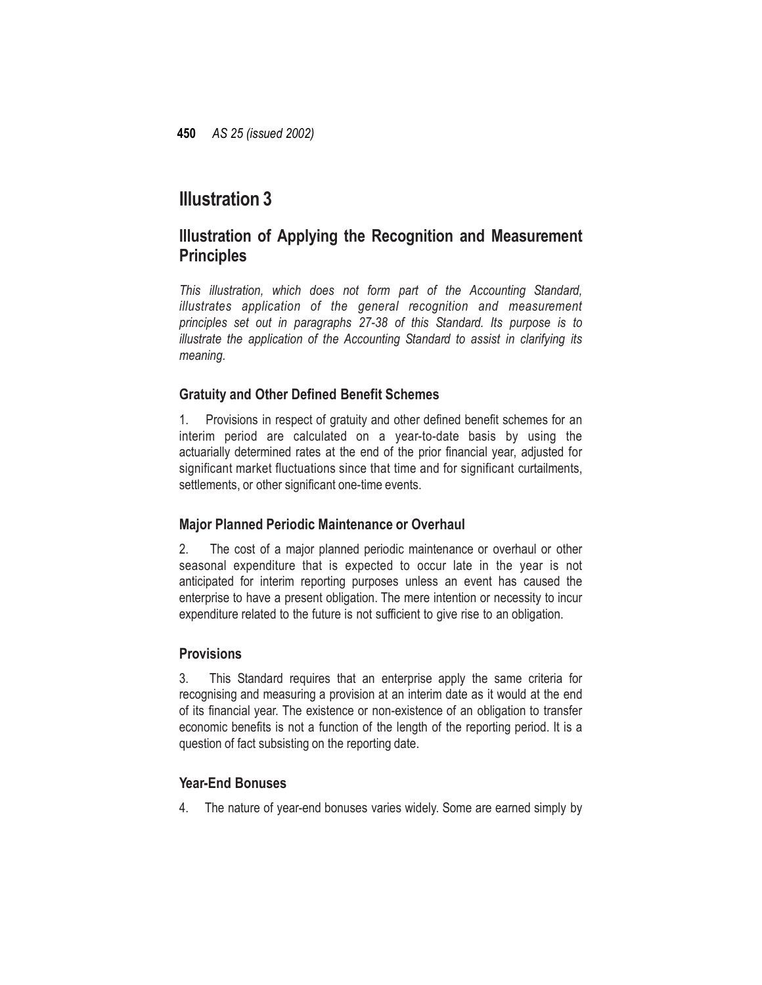# **Illustration 3**

# **Illustration of Applying the Recognition and Measurement Principles**

*This illustration, which does not form part of the Accounting Standard, illustrates application of the general recognition and measurement principles set out in paragraphs 27-38 of this Standard. Its purpose is to illustrate the application of the Accounting Standard to assist in clarifying its meaning.*

## **Gratuity and Other Defined Benefit Schemes**

1. Provisions in respect of gratuity and other defined benefit schemes for an interim period are calculated on a year-to-date basis by using the actuarially determined rates at the end of the prior financial year, adjusted for significant market fluctuations since that time and for significant curtailments, settlements, or other significant one-time events.

## **Major Planned Periodic Maintenance or Overhaul**

2. The cost of a major planned periodic maintenance or overhaul or other seasonal expenditure that is expected to occur late in the year is not anticipated for interim reporting purposes unless an event has caused the enterprise to have a present obligation. The mere intention or necessity to incur expenditure related to the future is not sufficient to give rise to an obligation.

## **Provisions**

3. This Standard requires that an enterprise apply the same criteria for recognising and measuring a provision at an interim date as it would at the end of its financial year. The existence or non-existence of an obligation to transfer economic benefits is not a function of the length of the reporting period. It is a question of fact subsisting on the reporting date.

## **Year-End Bonuses**

4. The nature of year-end bonuses varies widely. Some are earned simply by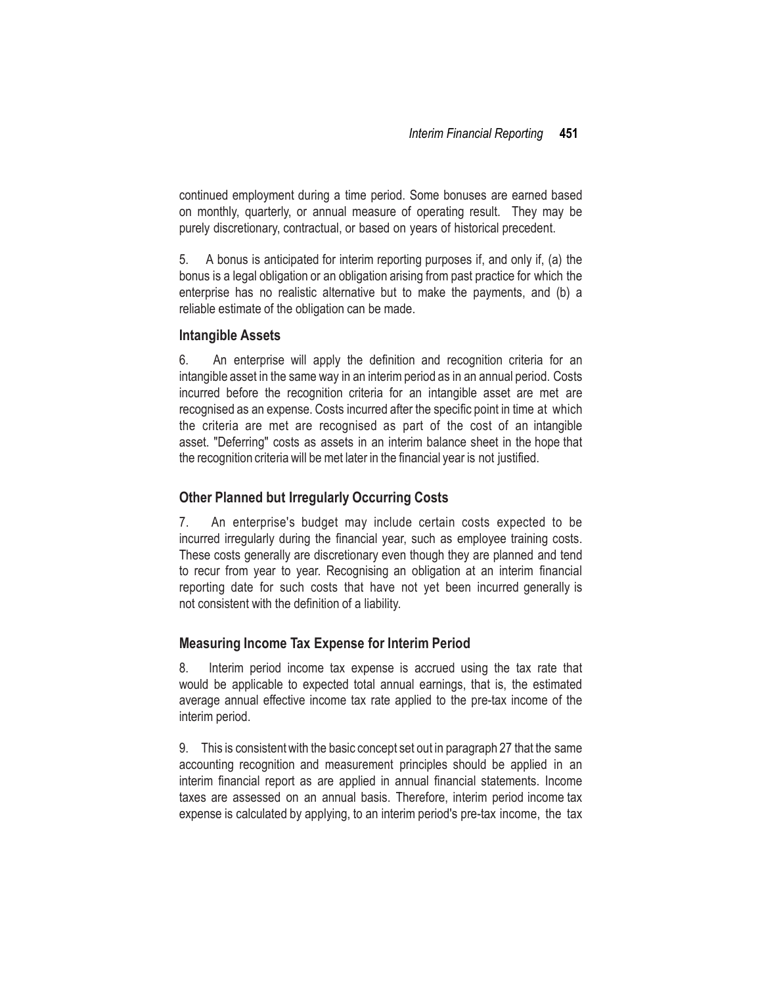continued employment during a time period. Some bonuses are earned based on monthly, quarterly, or annual measure of operating result. They may be purely discretionary, contractual, or based on years of historical precedent.

5. A bonus is anticipated for interim reporting purposes if, and only if, (a) the bonus is a legal obligation or an obligation arising from past practice for which the enterprise has no realistic alternative but to make the payments, and (b) a reliable estimate of the obligation can be made.

### **Intangible Assets**

6. An enterprise will apply the definition and recognition criteria for an intangible asset in the same way in an interim period as in an annual period. Costs incurred before the recognition criteria for an intangible asset are met are recognised as an expense. Costs incurred after the specific point in time at which the criteria are met are recognised as part of the cost of an intangible asset. "Deferring" costs as assets in an interim balance sheet in the hope that the recognition criteria will be met later in the financial year is not justified.

### **Other Planned but Irregularly Occurring Costs**

7. An enterprise's budget may include certain costs expected to be incurred irregularly during the financial year, such as employee training costs. These costs generally are discretionary even though they are planned and tend to recur from year to year. Recognising an obligation at an interim financial reporting date for such costs that have not yet been incurred generally is not consistent with the definition of a liability.

### **Measuring Income Tax Expense for Interim Period**

8. Interim period income tax expense is accrued using the tax rate that would be applicable to expected total annual earnings, that is, the estimated average annual effective income tax rate applied to the pre-tax income of the interim period.

9. This is consistentwith the basic concept set out in paragraph 27 that the same accounting recognition and measurement principles should be applied in an interim financial report as are applied in annual financial statements. Income taxes are assessed on an annual basis. Therefore, interim period income tax expense is calculated by applying, to an interim period's pre-tax income, the tax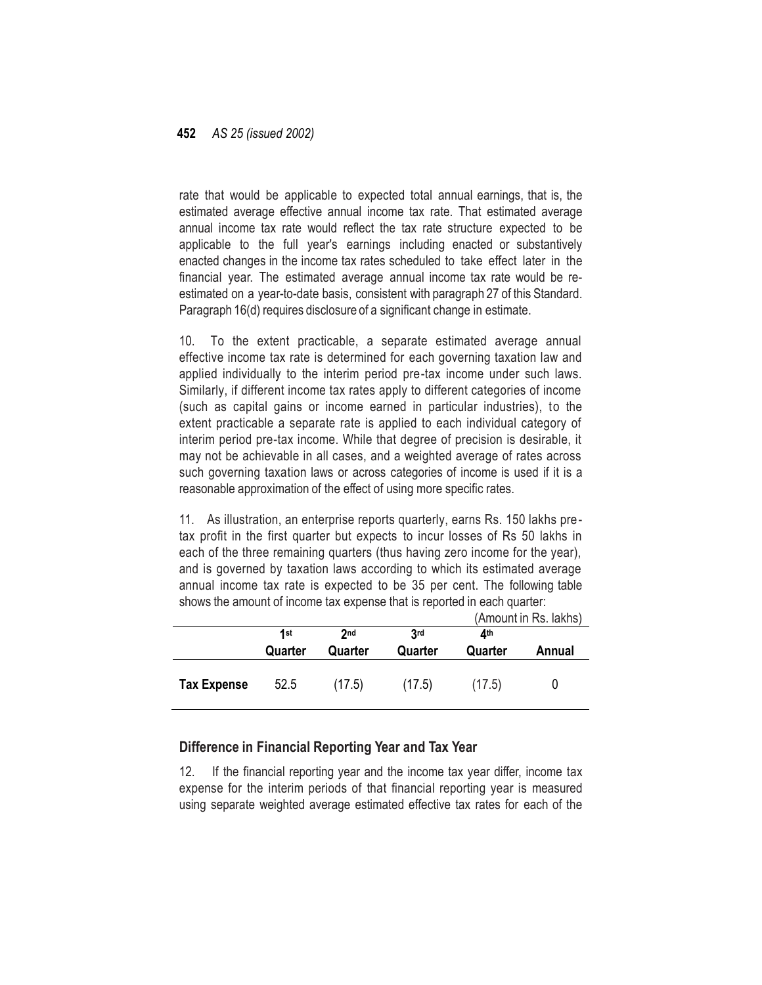rate that would be applicable to expected total annual earnings, that is, the estimated average effective annual income tax rate. That estimated average annual income tax rate would reflect the tax rate structure expected to be applicable to the full year's earnings including enacted or substantively enacted changes in the income tax rates scheduled to take effect later in the financial year. The estimated average annual income tax rate would be reestimated on a year-to-date basis, consistent with paragraph 27 of this Standard. Paragraph 16(d) requires disclosure of a significant change in estimate.

10. To the extent practicable, a separate estimated average annual effective income tax rate is determined for each governing taxation law and applied individually to the interim period pre-tax income under such laws. Similarly, if different income tax rates apply to different categories of income (such as capital gains or income earned in particular industries), to the extent practicable a separate rate is applied to each individual category of interim period pre-tax income. While that degree of precision is desirable, it may not be achievable in all cases, and a weighted average of rates across such governing taxation laws or across categories of income is used if it is a reasonable approximation of the effect of using more specific rates.

11. As illustration, an enterprise reports quarterly, earns Rs. 150 lakhs pretax profit in the first quarter but expects to incur losses of Rs 50 lakhs in each of the three remaining quarters (thus having zero income for the year), and is governed by taxation laws according to which its estimated average annual income tax rate is expected to be 35 per cent. The following table shows the amount of income tax expense that is reported in each quarter:

|                    |         |                 |         | (Amount in Rs. lakhs) |        |
|--------------------|---------|-----------------|---------|-----------------------|--------|
|                    | 1st     | 2 <sub>nd</sub> | 3rd     | <b>1</b> th           |        |
|                    | Quarter | Quarter         | Quarter | Quarter               | Annual |
| <b>Tax Expense</b> | 52.5    | (17.5)          | (17.5)  | (17.5)                |        |

### **Difference in Financial Reporting Year and Tax Year**

12. If the financial reporting year and the income tax year differ, income tax expense for the interim periods of that financial reporting year is measured using separate weighted average estimated effective tax rates for each of the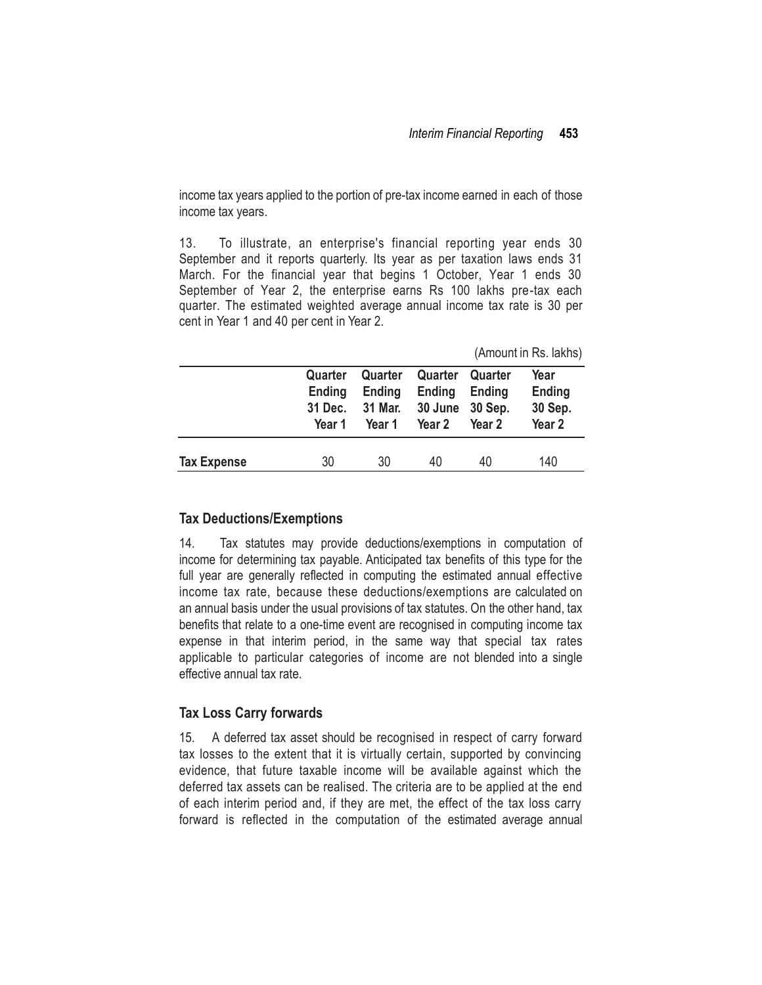income tax years applied to the portion of pre-tax income earned in each of those income tax years.

13. To illustrate, an enterprise's financial reporting year ends 30 September and it reports quarterly. Its year as per taxation laws ends 31 March. For the financial year that begins 1 October, Year 1 ends 30 September of Year 2, the enterprise earns Rs 100 lakhs pre-tax each quarter. The estimated weighted average annual income tax rate is 30 per cent in Year 1 and 40 per cent in Year 2.

| (Amount in Rs. lakhs) |  |  |  |
|-----------------------|--|--|--|
|-----------------------|--|--|--|

|                    | Quarter<br>Ending<br>31 Dec.<br>Year 1 | Quarter<br>Ending<br>31 Mar.<br>Year 1 | Quarter<br>Ending<br>30 June 30 Sep.<br>Year 2 | Quarter<br>Ending<br>Year 2 | Year<br>Ending<br>30 Sep.<br>Year <sub>2</sub> |
|--------------------|----------------------------------------|----------------------------------------|------------------------------------------------|-----------------------------|------------------------------------------------|
| <b>Tax Expense</b> | 30                                     | 30                                     | 40                                             | 40                          | 140                                            |

#### **Tax Deductions/Exemptions**

14. Tax statutes may provide deductions/exemptions in computation of income for determining tax payable. Anticipated tax benefits of this type for the full year are generally reflected in computing the estimated annual effective income tax rate, because these deductions/exemptions are calculated on an annual basis under the usual provisions of tax statutes. On the other hand, tax benefits that relate to a one-time event are recognised in computing income tax expense in that interim period, in the same way that special tax rates applicable to particular categories of income are not blended into a single effective annual tax rate.

### **Tax Loss Carry forwards**

15. A deferred tax asset should be recognised in respect of carry forward tax losses to the extent that it is virtually certain, supported by convincing evidence, that future taxable income will be available against which the deferred tax assets can be realised. The criteria are to be applied at the end of each interim period and, if they are met, the effect of the tax loss carry forward is reflected in the computation of the estimated average annual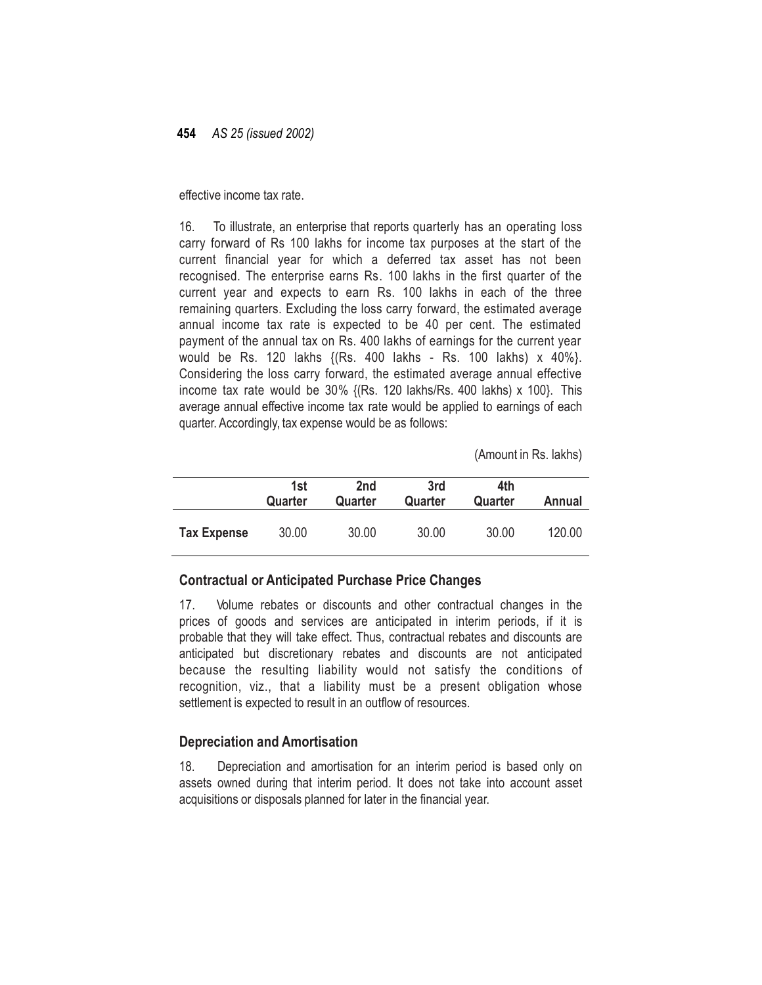effective income tax rate.

16. To illustrate, an enterprise that reports quarterly has an operating loss carry forward of Rs 100 lakhs for income tax purposes at the start of the current financial year for which a deferred tax asset has not been recognised. The enterprise earns Rs. 100 lakhs in the first quarter of the current year and expects to earn Rs. 100 lakhs in each of the three remaining quarters. Excluding the loss carry forward, the estimated average annual income tax rate is expected to be 40 per cent. The estimated payment of the annual tax on Rs. 400 lakhs of earnings for the current year would be Rs. 120 lakhs {(Rs. 400 lakhs - Rs. 100 lakhs) x 40%}. Considering the loss carry forward, the estimated average annual effective income tax rate would be 30% {(Rs. 120 lakhs/Rs. 400 lakhs) x 100}. This average annual effective income tax rate would be applied to earnings of each quarter. Accordingly, tax expense would be as follows:

(Amount in Rs. lakhs)

|                    | 1st<br>Quarter | 2nd<br>Quarter | 3rd<br>Quarter | 4th<br>Quarter | Annual |
|--------------------|----------------|----------------|----------------|----------------|--------|
| <b>Tax Expense</b> | 30.00          | 30.00          | 30.00          | 30.00          | 120.00 |

### **Contractual or Anticipated Purchase Price Changes**

17. Volume rebates or discounts and other contractual changes in the prices of goods and services are anticipated in interim periods, if it is probable that they will take effect. Thus, contractual rebates and discounts are anticipated but discretionary rebates and discounts are not anticipated because the resulting liability would not satisfy the conditions of recognition, viz., that a liability must be a present obligation whose settlement is expected to result in an outflow of resources.

### **Depreciation and Amortisation**

18. Depreciation and amortisation for an interim period is based only on assets owned during that interim period. It does not take into account asset acquisitions or disposals planned for later in the financial year.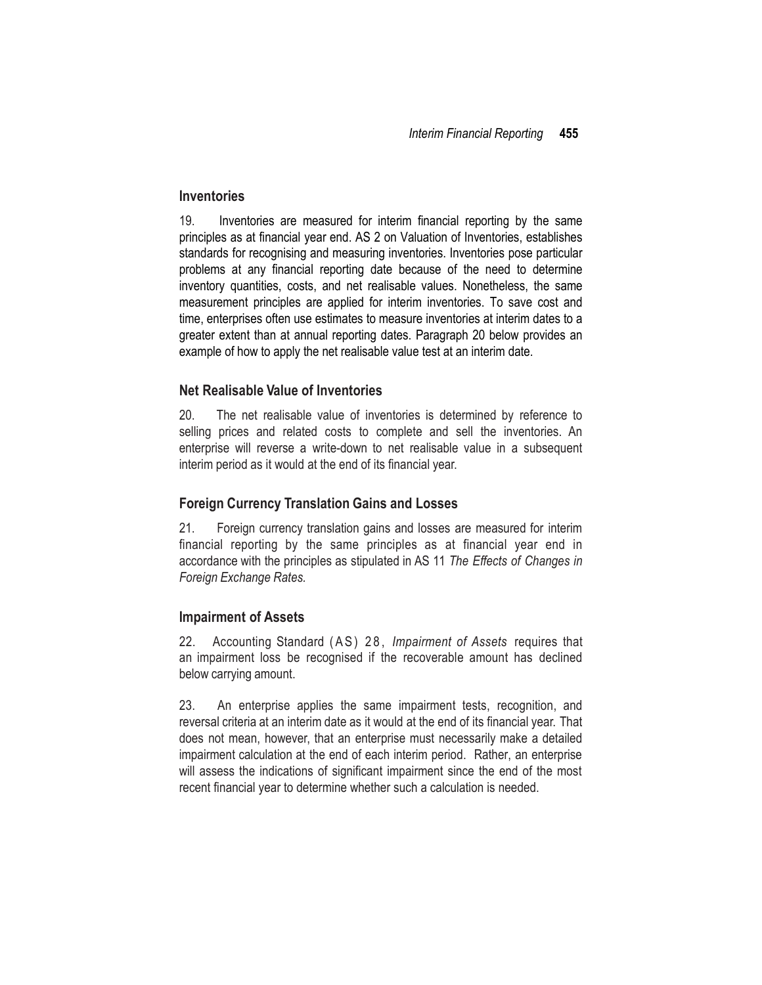#### **Inventories**

19. Inventories are measured for interim financial reporting by the same principles as at financial year end. AS 2 on Valuation of Inventories, establishes standards for recognising and measuring inventories. Inventories pose particular problems at any financial reporting date because of the need to determine inventory quantities, costs, and net realisable values. Nonetheless, the same measurement principles are applied for interim inventories. To save cost and time, enterprises often use estimates to measure inventories at interim dates to a greater extent than at annual reporting dates. Paragraph 20 below provides an example of how to apply the net realisable value test at an interim date.

### **Net Realisable Value of Inventories**

20. The net realisable value of inventories is determined by reference to selling prices and related costs to complete and sell the inventories. An enterprise will reverse a write-down to net realisable value in a subsequent interim period as it would at the end of its financial year.

#### **Foreign Currency Translation Gains and Losses**

21. Foreign currency translation gains and losses are measured for interim financial reporting by the same principles as at financial year end in accordance with the principles as stipulated in AS 11 *The Effects of Changes in Foreign Exchange Rates.*

#### **Impairment of Assets**

22. Accounting Standard (AS) 28, *Impairment* of Assets requires that an impairment loss be recognised if the recoverable amount has declined below carrying amount.

23. An enterprise applies the same impairment tests, recognition, and reversal criteria at an interim date as it would at the end of its financial year. That does not mean, however, that an enterprise must necessarily make a detailed impairment calculation at the end of each interim period. Rather, an enterprise will assess the indications of significant impairment since the end of the most recent financial year to determine whether such a calculation is needed.